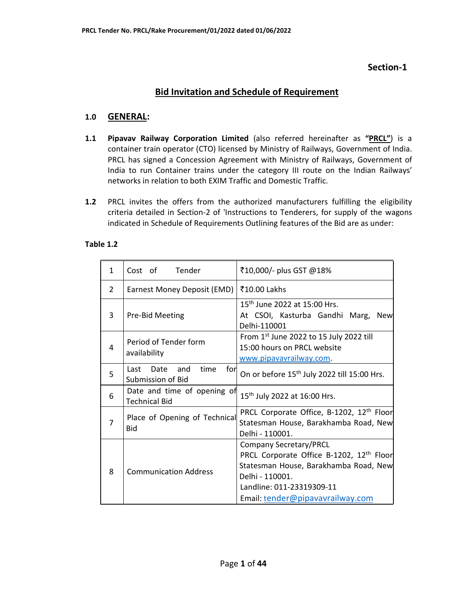### **Section-1**

# **Bid Invitation and Schedule of Requirement**

### **1.0 GENERAL:**

- **1.1 Pipavav Railway Corporation Limited** (also referred hereinafter as **"PRCL"**) is a container train operator (CTO) licensed by Ministry of Railways, Government of India. PRCL has signed a Concession Agreement with Ministry of Railways, Government of India to run Container trains under the category III route on the Indian Railways' networks in relation to both EXIM Traffic and Domestic Traffic.
- **1.2** PRCL invites the offers from the authorized manufacturers fulfilling the eligibility criteria detailed in Section-2 of 'Instructions to Tenderers, for supply of the wagons indicated in Schedule of Requirements Outlining features of the Bid are as under:

#### **Table 1.2**

| 1 | Tender<br>Cost of                                       | ₹10,000/- plus GST @18%                                                                                                                                                                                            |
|---|---------------------------------------------------------|--------------------------------------------------------------------------------------------------------------------------------------------------------------------------------------------------------------------|
| 2 | Earnest Money Deposit (EMD)                             | ₹10.00 Lakhs                                                                                                                                                                                                       |
| 3 | Pre-Bid Meeting                                         | 15 <sup>th</sup> June 2022 at 15:00 Hrs.<br>At CSOI, Kasturba Gandhi Marg,<br><b>New</b><br>Delhi-110001                                                                                                           |
| 4 | Period of Tender form<br>availability                   | From $1st$ June 2022 to 15 July 2022 till<br>15:00 hours on PRCL website<br>www.pipavavrailway.com.                                                                                                                |
| 5 | time<br>for<br>Date<br>and<br>Last<br>Submission of Bid | On or before 15 <sup>th</sup> July 2022 till 15:00 Hrs.                                                                                                                                                            |
| 6 | Date and time of opening of<br><b>Technical Bid</b>     | 15 <sup>th</sup> July 2022 at 16:00 Hrs.                                                                                                                                                                           |
| 7 | Place of Opening of Technical<br><b>Bid</b>             | PRCL Corporate Office, B-1202, 12 <sup>th</sup> Floor<br>Statesman House, Barakhamba Road, New<br>Delhi - 110001.                                                                                                  |
| 8 | <b>Communication Address</b>                            | <b>Company Secretary/PRCL</b><br>PRCL Corporate Office B-1202, 12 <sup>th</sup> Floor<br>Statesman House, Barakhamba Road, New<br>Delhi - 110001.<br>Landline: 011-23319309-11<br>Email: tender@pipavavrailway.com |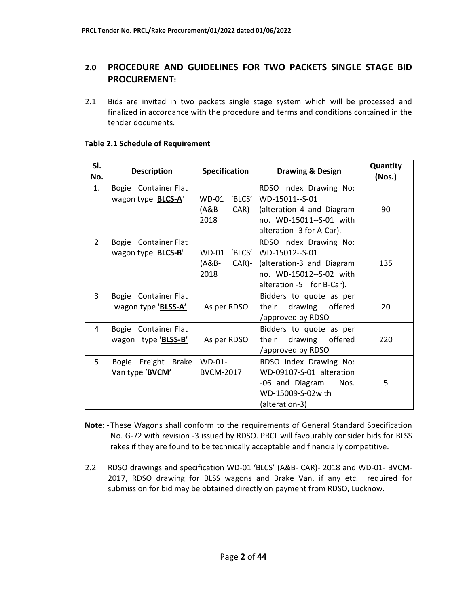# **2.0 PROCEDURE AND GUIDELINES FOR TWO PACKETS SINGLE STAGE BID PROCUREMENT:**

2.1 Bids are invited in two packets single stage system which will be processed and finalized in accordance with the procedure and terms and conditions contained in the tender documents.

| SI.<br>No.     | <b>Description</b>                          | Specification                            | <b>Drawing &amp; Design</b>                                                                                                   | Quantity<br>(Nos.) |
|----------------|---------------------------------------------|------------------------------------------|-------------------------------------------------------------------------------------------------------------------------------|--------------------|
| 1.             | Bogie Container Flat<br>wagon type 'BLCS-A' | WD-01 'BLCS'<br>$(AB -$<br>CAR)-<br>2018 | RDSO Index Drawing No:<br>WD-15011--S-01<br>(alteration 4 and Diagram<br>no. WD-15011--S-01 with<br>alteration -3 for A-Car). | 90                 |
| $\overline{2}$ | Bogie Container Flat<br>wagon type 'BLCS-B' | WD-01 'BLCS'<br>(A&B-<br>$CAR$ -<br>2018 | RDSO Index Drawing No:<br>WD-15012--S-01<br>(alteration-3 and Diagram<br>no. WD-15012--S-02 with<br>alteration -5 for B-Car). | 135                |
| $\overline{3}$ | Bogie Container Flat<br>wagon type 'BLSS-A' | As per RDSO                              | Bidders to quote as per<br>drawing offered<br>their<br>/approved by RDSO                                                      | 20                 |
| 4              | Bogie Container Flat<br>wagon type 'BLSS-B' | As per RDSO                              | Bidders to quote as per<br>offered<br>drawing<br>their<br>/approved by RDSO                                                   | 220                |
| 5              | Bogie Freight Brake<br>Van type 'BVCM'      | WD-01-<br><b>BVCM-2017</b>               | RDSO Index Drawing No:<br>WD-09107-S-01 alteration<br>-06 and Diagram<br>Nos.<br>WD-15009-S-02with<br>(alteration-3)          | 5                  |

#### **Table 2.1 Schedule of Requirement**

- **Note:** These Wagons shall conform to the requirements of General Standard Specification No. G-72 with revision -3 issued by RDSO. PRCL will favourably consider bids for BLSS rakes if they are found to be technically acceptable and financially competitive.
- 2.2 RDSO drawings and specification WD-01 'BLCS' (A&B- CAR)- 2018 and WD-01- BVCM-2017, RDSO drawing for BLSS wagons and Brake Van, if any etc. required for submission for bid may be obtained directly on payment from RDSO, Lucknow.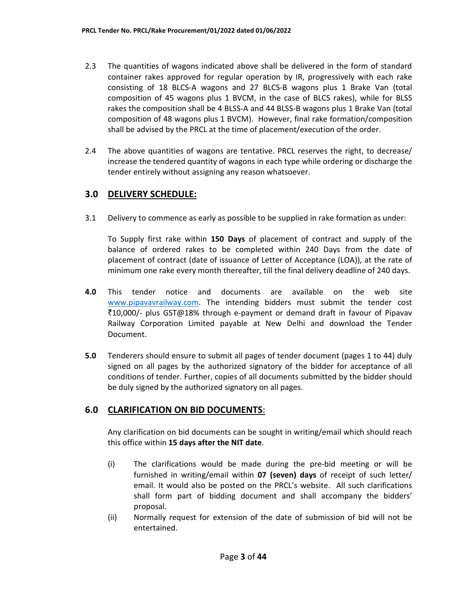- 2.3 The quantities of wagons indicated above shall be delivered in the form of standard container rakes approved for regular operation by IR, progressively with each rake consisting of 18 BLCS-A wagons and 27 BLCS-B wagons plus 1 Brake Van (total composition of 45 wagons plus 1 BVCM, in the case of BLCS rakes), while for BLSS rakes the composition shall be 4 BLSS-A and 44 BLSS-B wagons plus 1 Brake Van (total composition of 48 wagons plus 1 BVCM). However, final rake formation/composition shall be advised by the PRCL at the time of placement/execution of the order.
- 2.4 The above quantities of wagons are tentative. PRCL reserves the right, to decrease/ increase the tendered quantity of wagons in each type while ordering or discharge the tender entirely without assigning any reason whatsoever.

#### **3.0 DELIVERY SCHEDULE:**

3.1 Delivery to commence as early as possible to be supplied in rake formation as under:

To Supply first rake within **150 Days** of placement of contract and supply of the balance of ordered rakes to be completed within 240 Days from the date of placement of contract (date of issuance of Letter of Acceptance (LOA)), at the rate of minimum one rake every month thereafter, till the final delivery deadline of 240 days.

- **4.0** This tender notice and documents are available on the web site www.pipavavrailway.com. The intending bidders must submit the tender cost `10,000/- plus GST@18% through e-payment or demand draft in favour of Pipavav Railway Corporation Limited payable at New Delhi and download the Tender Document.
- **5.0** Tenderers should ensure to submit all pages of tender document (pages 1 to 44) duly signed on all pages by the authorized signatory of the bidder for acceptance of all conditions of tender. Further, copies of all documents submitted by the bidder should be duly signed by the authorized signatory on all pages.

### **6.0 CLARIFICATION ON BID DOCUMENTS**:

Any clarification on bid documents can be sought in writing/email which should reach this office within **15 days after the NIT date**.

- (i) The clarifications would be made during the pre-bid meeting or will be furnished in writing/email within **07 (seven) days** of receipt of such letter/ email. It would also be posted on the PRCL's website. All such clarifications shall form part of bidding document and shall accompany the bidders' proposal.
- (ii) Normally request for extension of the date of submission of bid will not be entertained.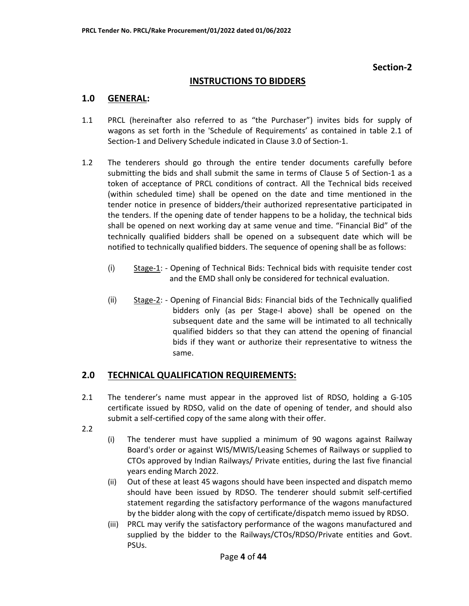#### **Section-2**

#### **INSTRUCTIONS TO BIDDERS**

#### **1.0 GENERAL:**

- 1.1 PRCL (hereinafter also referred to as "the Purchaser") invites bids for supply of wagons as set forth in the 'Schedule of Requirements' as contained in table 2.1 of Section-1 and Delivery Schedule indicated in Clause 3.0 of Section-1.
- 1.2 The tenderers should go through the entire tender documents carefully before submitting the bids and shall submit the same in terms of Clause 5 of Section-1 as a token of acceptance of PRCL conditions of contract. All the Technical bids received (within scheduled time) shall be opened on the date and time mentioned in the tender notice in presence of bidders/their authorized representative participated in the tenders. If the opening date of tender happens to be a holiday, the technical bids shall be opened on next working day at same venue and time. "Financial Bid" of the technically qualified bidders shall be opened on a subsequent date which will be notified to technically qualified bidders. The sequence of opening shall be as follows:
	- (i) Stage-1: Opening of Technical Bids: Technical bids with requisite tender cost and the EMD shall only be considered for technical evaluation.
	- (ii) Stage-2: Opening of Financial Bids: Financial bids of the Technically qualified bidders only (as per Stage-I above) shall be opened on the subsequent date and the same will be intimated to all technically qualified bidders so that they can attend the opening of financial bids if they want or authorize their representative to witness the same.

#### **2.0 TECHNICAL QUALIFICATION REQUIREMENTS:**

- 2.1 The tenderer's name must appear in the approved list of RDSO, holding a G-105 certificate issued by RDSO, valid on the date of opening of tender, and should also submit a self-certified copy of the same along with their offer.
- 2.2
- (i) The tenderer must have supplied a minimum of 90 wagons against Railway Board's order or against WIS/MWIS/Leasing Schemes of Railways or supplied to CTOs approved by Indian Railways/ Private entities, during the last five financial years ending March 2022.
- (ii) Out of these at least 45 wagons should have been inspected and dispatch memo should have been issued by RDSO. The tenderer should submit self-certified statement regarding the satisfactory performance of the wagons manufactured by the bidder along with the copy of certificate/dispatch memo issued by RDSO.
- (iii) PRCL may verify the satisfactory performance of the wagons manufactured and supplied by the bidder to the Railways/CTOs/RDSO/Private entities and Govt. PSUs.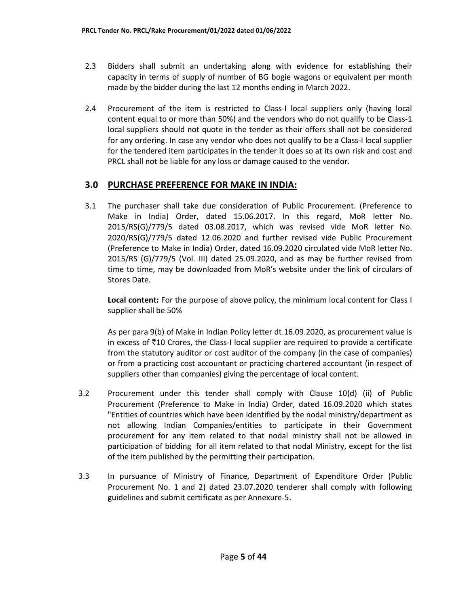- 2.3 Bidders shall submit an undertaking along with evidence for establishing their capacity in terms of supply of number of BG bogie wagons or equivalent per month made by the bidder during the last 12 months ending in March 2022.
- 2.4 Procurement of the item is restricted to Class-I local suppliers only (having local content equal to or more than 50%) and the vendors who do not qualify to be Class-1 local suppliers should not quote in the tender as their offers shall not be considered for any ordering. In case any vendor who does not qualify to be a Class-I local supplier for the tendered item participates in the tender it does so at its own risk and cost and PRCL shall not be liable for any loss or damage caused to the vendor.

#### **3.0 PURCHASE PREFERENCE FOR MAKE IN INDIA:**

3.1 The purchaser shall take due consideration of Public Procurement. (Preference to Make in India) Order, dated 15.06.2017. In this regard, MoR letter No. 2015/RS(G)/779/5 dated 03.08.2017, which was revised vide MoR letter No. 2020/RS(G)/779/5 dated 12.06.2020 and further revised vide Public Procurement (Preference to Make in India) Order, dated 16.09.2020 circulated vide MoR letter No. 2015/RS (G)/779/5 (Vol. III) dated 25.09.2020, and as may be further revised from time to time, may be downloaded from MoR's website under the link of circulars of Stores Date.

**Local content:** For the purpose of above policy, the minimum local content for Class I supplier shall be 50%

As per para 9(b) of Make in Indian Policy letter dt.16.09.2020, as procurement value is in excess of  $\bar{\tau}$ 10 Crores, the Class-I local supplier are required to provide a certificate from the statutory auditor or cost auditor of the company (in the case of companies) or from a practicing cost accountant or practicing chartered accountant (in respect of suppliers other than companies) giving the percentage of local content.

- 3.2 Procurement under this tender shall comply with Clause 10(d) (ii) of Public Procurement (Preference to Make in India) Order, dated 16.09.2020 which states "Entities of countries which have been identified by the nodal ministry/department as not allowing Indian Companies/entities to participate in their Government procurement for any item related to that nodal ministry shall not be allowed in participation of bidding for all item related to that nodal Ministry, except for the list of the item published by the permitting their participation.
- 3.3 In pursuance of Ministry of Finance, Department of Expenditure Order (Public Procurement No. 1 and 2) dated 23.07.2020 tenderer shall comply with following guidelines and submit certificate as per Annexure-5.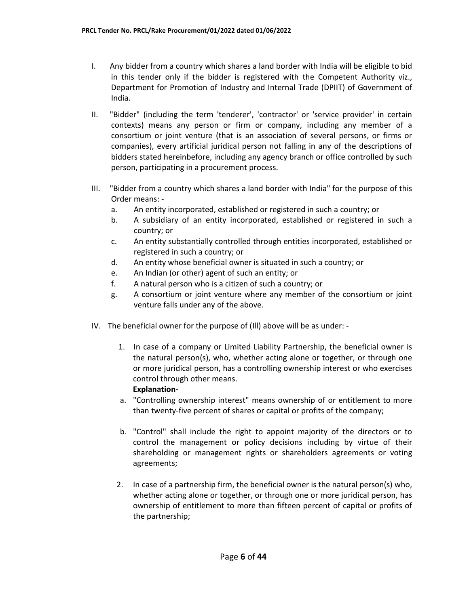- I. Any bidder from a country which shares a land border with India will be eligible to bid in this tender only if the bidder is registered with the Competent Authority viz., Department for Promotion of Industry and Internal Trade (DPIIT) of Government of India.
- II. "Bidder" (including the term 'tenderer', 'contractor' or 'service provider' in certain contexts) means any person or firm or company, including any member of a consortium or joint venture (that is an association of several persons, or firms or companies), every artificial juridical person not falling in any of the descriptions of bidders stated hereinbefore, including any agency branch or office controlled by such person, participating in a procurement process.
- III. "Bidder from a country which shares a land border with India" for the purpose of this Order means:
	- a. An entity incorporated, established or registered in such a country; or
	- b. A subsidiary of an entity incorporated, established or registered in such a country; or
	- c. An entity substantially controlled through entities incorporated, established or registered in such a country; or
	- d. An entity whose beneficial owner is situated in such a country; or
	- e. An Indian (or other) agent of such an entity; or
	- f. A natural person who is a citizen of such a country; or
	- g. A consortium or joint venture where any member of the consortium or joint venture falls under any of the above.
- IV. The beneficial owner for the purpose of (Ill) above will be as under:
	- 1. In case of a company or Limited Liability Partnership, the beneficial owner is the natural person(s), who, whether acting alone or together, or through one or more juridical person, has a controlling ownership interest or who exercises control through other means. **Explanation-**
	- a. "Controlling ownership interest" means ownership of or entitlement to more than twenty-five percent of shares or capital or profits of the company;
	- b. "Control" shall include the right to appoint majority of the directors or to control the management or policy decisions including by virtue of their shareholding or management rights or shareholders agreements or voting agreements;
	- 2. In case of a partnership firm, the beneficial owner is the natural person(s) who, whether acting alone or together, or through one or more juridical person, has ownership of entitlement to more than fifteen percent of capital or profits of the partnership;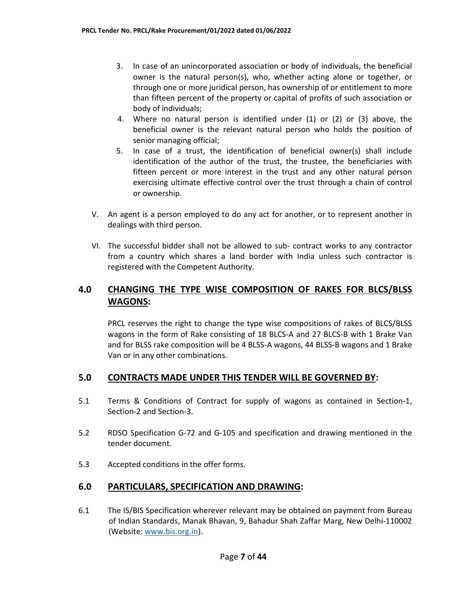- 3. In case of an unincorporated association or body of individuals, the beneficial owner is the natural person(s), who, whether acting alone or together, or through one or more juridical person, has ownership of or entitlement to more than fifteen percent of the property or capital of profits of such association or body of individuals;
- 4. Where no natural person is identified under (1) or (2) or (3) above, the beneficial owner is the relevant natural person who holds the position of senior managing official;
- 5. In case of a trust, the identification of beneficial owner(s) shall include identification of the author of the trust, the trustee, the beneficiaries with fifteen percent or more interest in the trust and any other natural person exercising ultimate effective control over the trust through a chain of control or ownership.
- V. An agent is a person employed to do any act for another, or to represent another in dealings with third person.
- VI. The successful bidder shall not be allowed to sub- contract works to any contractor from a country which shares a land border with India unless such contractor is registered with the Competent Authority.

# **4.0 CHANGING THE TYPE WISE COMPOSITION OF RAKES FOR BLCS/BLSS WAGONS:**

PRCL reserves the right to change the type wise compositions of rakes of BLCS/BLSS wagons in the form of Rake consisting of 18 BLCS-A and 27 BLCS-B with 1 Brake Van and for BLSS rake composition will be 4 BLSS-A wagons, 44 BLSS-B wagons and 1 Brake Van or in any other combinations.

### **5.0 CONTRACTS MADE UNDER THIS TENDER WILL BE GOVERNED BY:**

- 5.1 Terms & Conditions of Contract for supply of wagons as contained in Section-1, Section-2 and Section-3.
- 5.2 RDSO Specification G-72 and G-105 and specification and drawing mentioned in the tender document.
- 5.3 Accepted conditions in the offer forms.

### **6.0 PARTICULARS, SPECIFICATION AND DRAWING:**

6.1 The IS/BIS Specification wherever relevant may be obtained on payment from Bureau of Indian Standards, Manak Bhavan, 9, Bahadur Shah Zaffar Marg, New Delhi-110002 (Website: www.bis.org.in).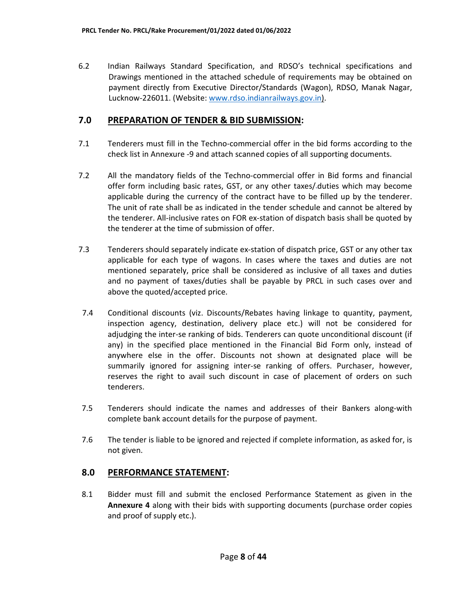6.2 Indian Railways Standard Specification, and RDSO's technical specifications and Drawings mentioned in the attached schedule of requirements may be obtained on payment directly from Executive Director/Standards (Wagon), RDSO, Manak Nagar, Lucknow-226011. (Website: www.rdso.indianrailways.gov.in).

### **7.0 PREPARATION OF TENDER & BID SUBMISSION:**

- 7.1 Tenderers must fill in the Techno-commercial offer in the bid forms according to the check list in Annexure -9 and attach scanned copies of all supporting documents.
- 7.2 All the mandatory fields of the Techno-commercial offer in Bid forms and financial offer form including basic rates, GST, or any other taxes/ duties which may become applicable during the currency of the contract have to be filled up by the tenderer. The unit of rate shall be as indicated in the tender schedule and cannot be altered by the tenderer. All-inclusive rates on FOR ex-station of dispatch basis shall be quoted by the tenderer at the time of submission of offer.
- 7.3 Tenderers should separately indicate ex-station of dispatch price, GST or any other tax applicable for each type of wagons. In cases where the taxes and duties are not mentioned separately, price shall be considered as inclusive of all taxes and duties and no payment of taxes/duties shall be payable by PRCL in such cases over and above the quoted/accepted price.
- 7.4 Conditional discounts (viz. Discounts/Rebates having linkage to quantity, payment, inspection agency, destination, delivery place etc.) will not be considered for adjudging the inter-se ranking of bids. Tenderers can quote unconditional discount (if any) in the specified place mentioned in the Financial Bid Form only, instead of anywhere else in the offer. Discounts not shown at designated place will be summarily ignored for assigning inter-se ranking of offers. Purchaser, however, reserves the right to avail such discount in case of placement of orders on such tenderers.
- 7.5 Tenderers should indicate the names and addresses of their Bankers along-with complete bank account details for the purpose of payment.
- 7.6 The tender is liable to be ignored and rejected if complete information, as asked for, is not given.

### **8.0 PERFORMANCE STATEMENT:**

8.1 Bidder must fill and submit the enclosed Performance Statement as given in the **Annexure 4** along with their bids with supporting documents (purchase order copies and proof of supply etc.).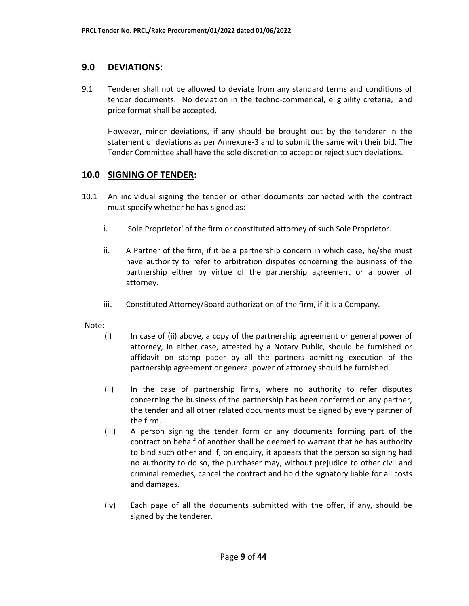#### **9.0 DEVIATIONS:**

9.1 Tenderer shall not be allowed to deviate from any standard terms and conditions of tender documents. No deviation in the techno-commerical, eligibility creteria, and price format shall be accepted.

However, minor deviations, if any should be brought out by the tenderer in the statement of deviations as per Annexure-3 and to submit the same with their bid. The Tender Committee shall have the sole discretion to accept or reject such deviations.

#### **10.0 SIGNING OF TENDER:**

- 10.1 An individual signing the tender or other documents connected with the contract must specify whether he has signed as:
	- i. 'Sole Proprietor' of the firm or constituted attorney of such Sole Proprietor.
	- ii. A Partner of the firm, if it be a partnership concern in which case, he/she must have authority to refer to arbitration disputes concerning the business of the partnership either by virtue of the partnership agreement or a power of attorney.
	- iii. Constituted Attorney/Board authorization of the firm, if it is a Company.

Note:

- (i) In case of (ii) above, a copy of the partnership agreement or general power of attorney, in either case, attested by a Notary Public, should be furnished or affidavit on stamp paper by all the partners admitting execution of the partnership agreement or general power of attorney should be furnished.
- (ii) In the case of partnership firms, where no authority to refer disputes concerning the business of the partnership has been conferred on any partner, the tender and all other related documents must be signed by every partner of the firm.
- (iii) A person signing the tender form or any documents forming part of the contract on behalf of another shall be deemed to warrant that he has authority to bind such other and if, on enquiry, it appears that the person so signing had no authority to do so, the purchaser may, without prejudice to other civil and criminal remedies, cancel the contract and hold the signatory liable for all costs and damages.
- (iv) Each page of all the documents submitted with the offer, if any, should be signed by the tenderer.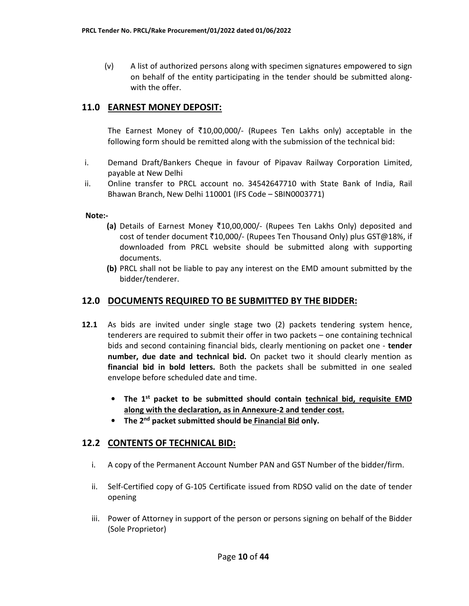(v) A list of authorized persons along with specimen signatures empowered to sign on behalf of the entity participating in the tender should be submitted alongwith the offer.

# **11.0 EARNEST MONEY DEPOSIT:**

The Earnest Money of  $\bar{\zeta}10,00,000/$ - (Rupees Ten Lakhs only) acceptable in the following form should be remitted along with the submission of the technical bid:

- i. Demand Draft/Bankers Cheque in favour of Pipavav Railway Corporation Limited, payable at New Delhi
- ii. Online transfer to PRCL account no. 34542647710 with State Bank of India, Rail Bhawan Branch, New Delhi 110001 (IFS Code – SBIN0003771)

**Note:-** 

- **(a)** Details of Earnest Money `10,00,000/- (Rupees Ten Lakhs Only) deposited and cost of tender document  $\bar{z}10,000/$ - (Rupees Ten Thousand Only) plus GST@18%, if downloaded from PRCL website should be submitted along with supporting documents.
- **(b)** PRCL shall not be liable to pay any interest on the EMD amount submitted by the bidder/tenderer.

### **12.0 DOCUMENTS REQUIRED TO BE SUBMITTED BY THE BIDDER:**

- **12.1** As bids are invited under single stage two (2) packets tendering system hence, tenderers are required to submit their offer in two packets – one containing technical bids and second containing financial bids, clearly mentioning on packet one - **tender number, due date and technical bid.** On packet two it should clearly mention as **financial bid in bold letters.** Both the packets shall be submitted in one sealed envelope before scheduled date and time.
	- **The 1st packet to be submitted should contain technical bid, requisite EMD along with the declaration, as in Annexure-2 and tender cost.**
	- **The 2nd packet submitted should be Financial Bid only.**

### **12.2 CONTENTS OF TECHNICAL BID:**

- i. A copy of the Permanent Account Number PAN and GST Number of the bidder/firm.
- ii. Self-Certified copy of G-105 Certificate issued from RDSO valid on the date of tender opening
- iii. Power of Attorney in support of the person or persons signing on behalf of the Bidder (Sole Proprietor)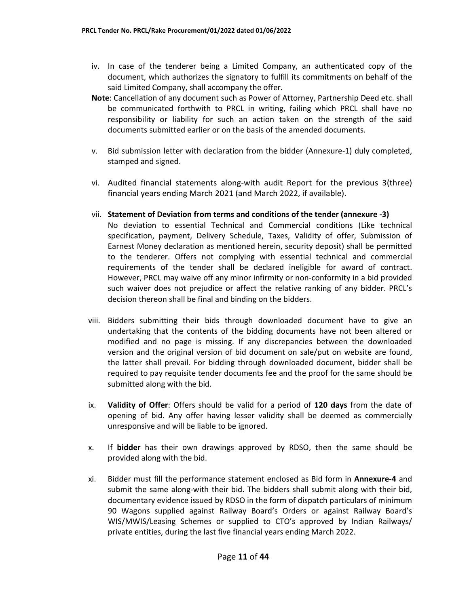- iv. In case of the tenderer being a Limited Company, an authenticated copy of the document, which authorizes the signatory to fulfill its commitments on behalf of the said Limited Company, shall accompany the offer.
- **Note**: Cancellation of any document such as Power of Attorney, Partnership Deed etc. shall be communicated forthwith to PRCL in writing, failing which PRCL shall have no responsibility or liability for such an action taken on the strength of the said documents submitted earlier or on the basis of the amended documents.
- v. Bid submission letter with declaration from the bidder (Annexure-1) duly completed, stamped and signed.
- vi. Audited financial statements along-with audit Report for the previous 3(three) financial years ending March 2021 (and March 2022, if available).
- vii. **Statement of Deviation from terms and conditions of the tender (annexure -3)**  No deviation to essential Technical and Commercial conditions (Like technical specification, payment, Delivery Schedule, Taxes, Validity of offer, Submission of Earnest Money declaration as mentioned herein, security deposit) shall be permitted to the tenderer. Offers not complying with essential technical and commercial requirements of the tender shall be declared ineligible for award of contract. However, PRCL may waive off any minor infirmity or non-conformity in a bid provided such waiver does not prejudice or affect the relative ranking of any bidder. PRCL's decision thereon shall be final and binding on the bidders.
- viii. Bidders submitting their bids through downloaded document have to give an undertaking that the contents of the bidding documents have not been altered or modified and no page is missing. If any discrepancies between the downloaded version and the original version of bid document on sale/put on website are found, the latter shall prevail. For bidding through downloaded document, bidder shall be required to pay requisite tender documents fee and the proof for the same should be submitted along with the bid.
- ix. **Validity of Offer**: Offers should be valid for a period of **120 days** from the date of opening of bid. Any offer having lesser validity shall be deemed as commercially unresponsive and will be liable to be ignored.
- x. If **bidder** has their own drawings approved by RDSO, then the same should be provided along with the bid.
- xi. Bidder must fill the performance statement enclosed as Bid form in **Annexure-4** and submit the same along-with their bid. The bidders shall submit along with their bid, documentary evidence issued by RDSO in the form of dispatch particulars of minimum 90 Wagons supplied against Railway Board's Orders or against Railway Board's WIS/MWIS/Leasing Schemes or supplied to CTO's approved by Indian Railways/ private entities, during the last five financial years ending March 2022.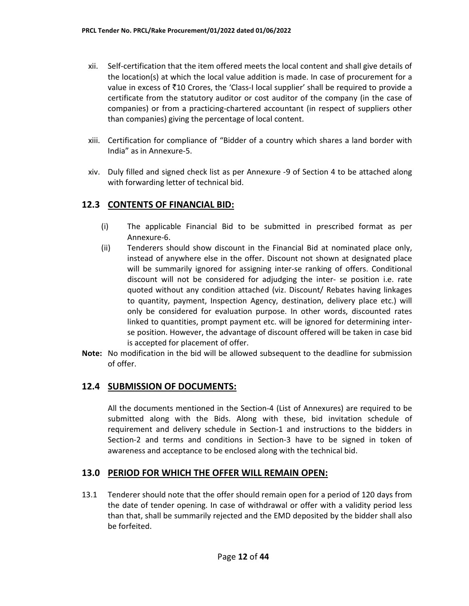- xii. Self-certification that the item offered meets the local content and shall give details of the location(s) at which the local value addition is made. In case of procurement for a value in excess of ₹10 Crores, the 'Class-I local supplier' shall be required to provide a certificate from the statutory auditor or cost auditor of the company (in the case of companies) or from a practicing-chartered accountant (in respect of suppliers other than companies) giving the percentage of local content.
- xiii. Certification for compliance of "Bidder of a country which shares a land border with India" as in Annexure-5.
- xiv. Duly filled and signed check list as per Annexure -9 of Section 4 to be attached along with forwarding letter of technical bid.

### **12.3 CONTENTS OF FINANCIAL BID:**

- (i) The applicable Financial Bid to be submitted in prescribed format as per Annexure-6.
- (ii) Tenderers should show discount in the Financial Bid at nominated place only, instead of anywhere else in the offer. Discount not shown at designated place will be summarily ignored for assigning inter-se ranking of offers. Conditional discount will not be considered for adjudging the inter- se position i.e. rate quoted without any condition attached (viz. Discount/ Rebates having linkages to quantity, payment, Inspection Agency, destination, delivery place etc.) will only be considered for evaluation purpose. In other words, discounted rates linked to quantities, prompt payment etc. will be ignored for determining interse position. However, the advantage of discount offered will be taken in case bid is accepted for placement of offer.
- **Note:** No modification in the bid will be allowed subsequent to the deadline for submission of offer.

### **12.4 SUBMISSION OF DOCUMENTS:**

All the documents mentioned in the Section-4 (List of Annexures) are required to be submitted along with the Bids. Along with these, bid invitation schedule of requirement and delivery schedule in Section-1 and instructions to the bidders in Section-2 and terms and conditions in Section-3 have to be signed in token of awareness and acceptance to be enclosed along with the technical bid.

### **13.0 PERIOD FOR WHICH THE OFFER WILL REMAIN OPEN:**

13.1 Tenderer should note that the offer should remain open for a period of 120 days from the date of tender opening. In case of withdrawal or offer with a validity period less than that, shall be summarily rejected and the EMD deposited by the bidder shall also be forfeited.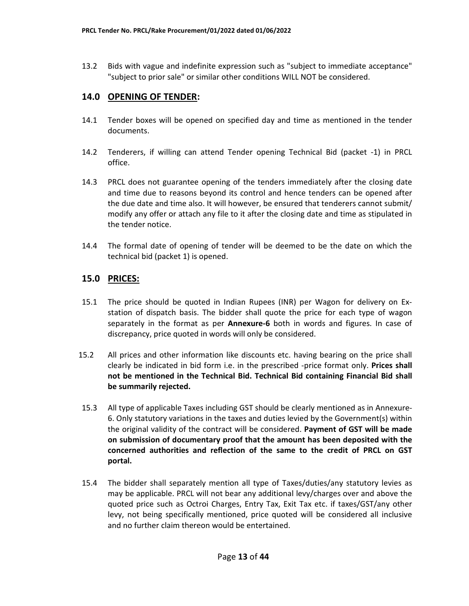13.2 Bids with vague and indefinite expression such as "subject to immediate acceptance" "subject to prior sale" or similar other conditions WILL NOT be considered.

### **14.0 OPENING OF TENDER:**

- 14.1 Tender boxes will be opened on specified day and time as mentioned in the tender documents.
- 14.2 Tenderers, if willing can attend Tender opening Technical Bid (packet -1) in PRCL office.
- 14.3 PRCL does not guarantee opening of the tenders immediately after the closing date and time due to reasons beyond its control and hence tenders can be opened after the due date and time also. It will however, be ensured that tenderers cannot submit/ modify any offer or attach any file to it after the closing date and time as stipulated in the tender notice.
- 14.4 The formal date of opening of tender will be deemed to be the date on which the technical bid (packet 1) is opened.

# **15.0 PRICES:**

- 15.1 The price should be quoted in Indian Rupees (INR) per Wagon for delivery on Exstation of dispatch basis. The bidder shall quote the price for each type of wagon separately in the format as per **Annexure-6** both in words and figures. In case of discrepancy, price quoted in words will only be considered.
- 15.2 All prices and other information like discounts etc. having bearing on the price shall clearly be indicated in bid form i.e. in the prescribed -price format only. **Prices shall not be mentioned in the Technical Bid. Technical Bid containing Financial Bid shall be summarily rejected.**
- 15.3 All type of applicable Taxes including GST should be clearly mentioned as in Annexure-6. Only statutory variations in the taxes and duties levied by the Government(s) within the original validity of the contract will be considered. **Payment of GST will be made on submission of documentary proof that the amount has been deposited with the concerned authorities and reflection of the same to the credit of PRCL on GST portal.**
- 15.4 The bidder shall separately mention all type of Taxes/duties/any statutory levies as may be applicable. PRCL will not bear any additional levy/charges over and above the quoted price such as Octroi Charges, Entry Tax, Exit Tax etc. if taxes/GST/any other levy, not being specifically mentioned, price quoted will be considered all inclusive and no further claim thereon would be entertained.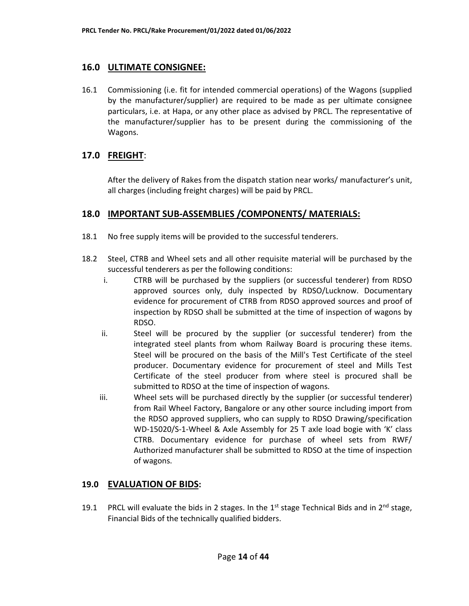### **16.0 ULTIMATE CONSIGNEE:**

16.1 Commissioning (i.e. fit for intended commercial operations) of the Wagons (supplied by the manufacturer/supplier) are required to be made as per ultimate consignee particulars, i.e. at Hapa, or any other place as advised by PRCL. The representative of the manufacturer/supplier has to be present during the commissioning of the Wagons.

# **17.0 FREIGHT**:

After the delivery of Rakes from the dispatch station near works/ manufacturer's unit, all charges (including freight charges) will be paid by PRCL.

### **18.0 IMPORTANT SUB-ASSEMBLIES /COMPONENTS/ MATERIALS:**

- 18.1 No free supply items will be provided to the successful tenderers.
- 18.2 Steel, CTRB and Wheel sets and all other requisite material will be purchased by the successful tenderers as per the following conditions:
	- i. CTRB will be purchased by the suppliers (or successful tenderer) from RDSO approved sources only, duly inspected by RDSO/Lucknow. Documentary evidence for procurement of CTRB from RDSO approved sources and proof of inspection by RDSO shall be submitted at the time of inspection of wagons by RDSO.
	- ii. Steel will be procured by the supplier (or successful tenderer) from the integrated steel plants from whom Railway Board is procuring these items. Steel will be procured on the basis of the Mill's Test Certificate of the steel producer. Documentary evidence for procurement of steel and Mills Test Certificate of the steel producer from where steel is procured shall be submitted to RDSO at the time of inspection of wagons.
	- iii. Wheel sets will be purchased directly by the supplier (or successful tenderer) from Rail Wheel Factory, Bangalore or any other source including import from the RDSO approved suppliers, who can supply to RDSO Drawing/specification WD-15020/S-1-Wheel & Axle Assembly for 25 T axle load bogie with 'K' class CTRB. Documentary evidence for purchase of wheel sets from RWF/ Authorized manufacturer shall be submitted to RDSO at the time of inspection of wagons.

### **19.0 EVALUATION OF BIDS:**

19.1 PRCL will evaluate the bids in 2 stages. In the  $1<sup>st</sup>$  stage Technical Bids and in  $2<sup>nd</sup>$  stage, Financial Bids of the technically qualified bidders.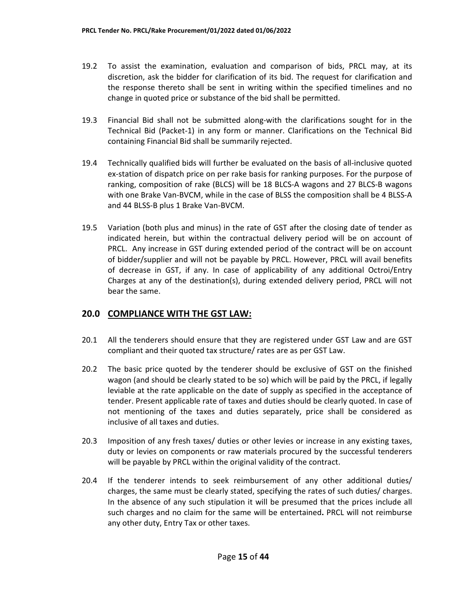- 19.2 To assist the examination, evaluation and comparison of bids, PRCL may, at its discretion, ask the bidder for clarification of its bid. The request for clarification and the response thereto shall be sent in writing within the specified timelines and no change in quoted price or substance of the bid shall be permitted.
- 19.3 Financial Bid shall not be submitted along-with the clarifications sought for in the Technical Bid (Packet-1) in any form or manner. Clarifications on the Technical Bid containing Financial Bid shall be summarily rejected.
- 19.4 Technically qualified bids will further be evaluated on the basis of all-inclusive quoted ex-station of dispatch price on per rake basis for ranking purposes. For the purpose of ranking, composition of rake (BLCS) will be 18 BLCS-A wagons and 27 BLCS-B wagons with one Brake Van-BVCM, while in the case of BLSS the composition shall be 4 BLSS-A and 44 BLSS-B plus 1 Brake Van-BVCM.
- 19.5 Variation (both plus and minus) in the rate of GST after the closing date of tender as indicated herein, but within the contractual delivery period will be on account of PRCL. Any increase in GST during extended period of the contract will be on account of bidder/supplier and will not be payable by PRCL. However, PRCL will avail benefits of decrease in GST, if any. In case of applicability of any additional Octroi/Entry Charges at any of the destination(s), during extended delivery period, PRCL will not bear the same.

# **20.0 COMPLIANCE WITH THE GST LAW:**

- 20.1 All the tenderers should ensure that they are registered under GST Law and are GST compliant and their quoted tax structure/ rates are as per GST Law.
- 20.2 The basic price quoted by the tenderer should be exclusive of GST on the finished wagon (and should be clearly stated to be so) which will be paid by the PRCL, if legally leviable at the rate applicable on the date of supply as specified in the acceptance of tender. Present applicable rate of taxes and duties should be clearly quoted. In case of not mentioning of the taxes and duties separately, price shall be considered as inclusive of all taxes and duties.
- 20.3 Imposition of any fresh taxes/ duties or other levies or increase in any existing taxes, duty or levies on components or raw materials procured by the successful tenderers will be payable by PRCL within the original validity of the contract.
- 20.4 If the tenderer intends to seek reimbursement of any other additional duties/ charges, the same must be clearly stated, specifying the rates of such duties/ charges. In the absence of any such stipulation it will be presumed that the prices include all such charges and no claim for the same will be entertained**.** PRCL will not reimburse any other duty, Entry Tax or other taxes.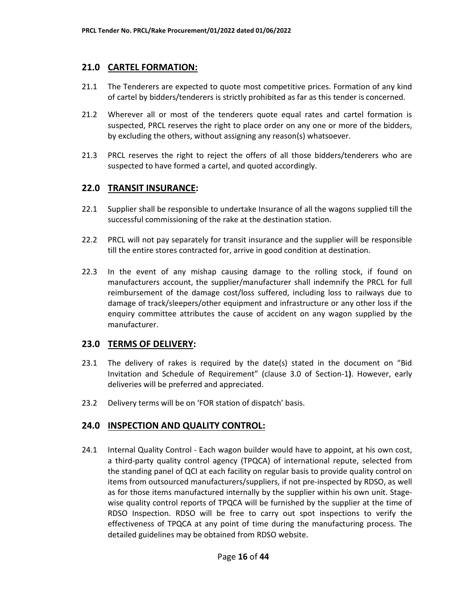#### **21.0 CARTEL FORMATION:**

- 21.1 The Tenderers are expected to quote most competitive prices. Formation of any kind of cartel by bidders/tenderers is strictly prohibited as far as this tender is concerned.
- 21.2 Wherever all or most of the tenderers quote equal rates and cartel formation is suspected, PRCL reserves the right to place order on any one or more of the bidders, by excluding the others, without assigning any reason(s) whatsoever.
- 21.3 PRCL reserves the right to reject the offers of all those bidders/tenderers who are suspected to have formed a cartel, and quoted accordingly.

#### **22.0 TRANSIT INSURANCE:**

- 22.1 Supplier shall be responsible to undertake Insurance of all the wagons supplied till the successful commissioning of the rake at the destination station.
- 22.2 PRCL will not pay separately for transit insurance and the supplier will be responsible till the entire stores contracted for, arrive in good condition at destination.
- 22.3 In the event of any mishap causing damage to the rolling stock, if found on manufacturers account, the supplier/manufacturer shall indemnify the PRCL for full reimbursement of the damage cost/loss suffered, including loss to railways due to damage of track/sleepers/other equipment and infrastructure or any other loss if the enquiry committee attributes the cause of accident on any wagon supplied by the manufacturer.

#### **23.0 TERMS OF DELIVERY:**

- 23.1 The delivery of rakes is required by the date(s) stated in the document on "Bid Invitation and Schedule of Requirement" (clause 3.0 of Section-1**)**. However, early deliveries will be preferred and appreciated.
- 23.2 Delivery terms will be on 'FOR station of dispatch' basis.

### **24.0 INSPECTION AND QUALITY CONTROL:**

24.1 Internal Quality Control - Each wagon builder would have to appoint, at his own cost, a third-party quality control agency (TPQCA) of international repute, selected from the standing panel of QCI at each facility on regular basis to provide quality control on items from outsourced manufacturers/suppliers, if not pre-inspected by RDSO, as well as for those items manufactured internally by the supplier within his own unit. Stagewise quality control reports of TPQCA will be furnished by the supplier at the time of RDSO Inspection. RDSO will be free to carry out spot inspections to verify the effectiveness of TPQCA at any point of time during the manufacturing process. The detailed guidelines may be obtained from RDSO website.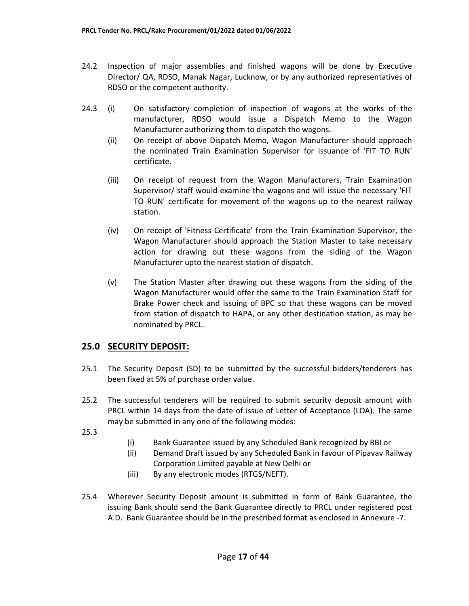- 24.2 Inspection of major assemblies and finished wagons will be done by Executive Director/ QA, RDSO, Manak Nagar, Lucknow, or by any authorized representatives of RDSO or the competent authority.
- 24.3 (i) On satisfactory completion of inspection of wagons at the works of the manufacturer, RDSO would issue a Dispatch Memo to the Wagon Manufacturer authorizing them to dispatch the wagons.
	- (ii) On receipt of above Dispatch Memo, Wagon Manufacturer should approach the nominated Train Examination Supervisor for issuance of 'FIT TO RUN' certificate.
	- (iii) On receipt of request from the Wagon Manufacturers, Train Examination Supervisor/ staff would examine the wagons and will issue the necessary 'FIT TO RUN' certificate for movement of the wagons up to the nearest railway station.
	- (iv) On receipt of 'Fitness Certificate' from the Train Examination Supervisor, the Wagon Manufacturer should approach the Station Master to take necessary action for drawing out these wagons from the siding of the Wagon Manufacturer upto the nearest station of dispatch.
	- (v) The Station Master after drawing out these wagons from the siding of the Wagon Manufacturer would offer the same to the Train Examination Staff for Brake Power check and issuing of BPC so that these wagons can be moved from station of dispatch to HAPA, or any other destination station, as may be nominated by PRCL.

# **25.0 SECURITY DEPOSIT:**

- 25.1 The Security Deposit (SD) to be submitted by the successful bidders/tenderers has been fixed at 5% of purchase order value.
- 25.2 The successful tenderers will be required to submit security deposit amount with PRCL within 14 days from the date of issue of Letter of Acceptance (LOA). The same may be submitted in any one of the following modes:
- 25.3
- (i) Bank Guarantee issued by any Scheduled Bank recognized by RBI or
- (ii) Demand Draft issued by any Scheduled Bank in favour of Pipavav Railway Corporation Limited payable at New Delhi or
- (iii) By any electronic modes (RTGS/NEFT).
- 25.4 Wherever Security Deposit amount is submitted in form of Bank Guarantee, the issuing Bank should send the Bank Guarantee directly to PRCL under registered post A.D. Bank Guarantee should be in the prescribed format as enclosed in Annexure -7.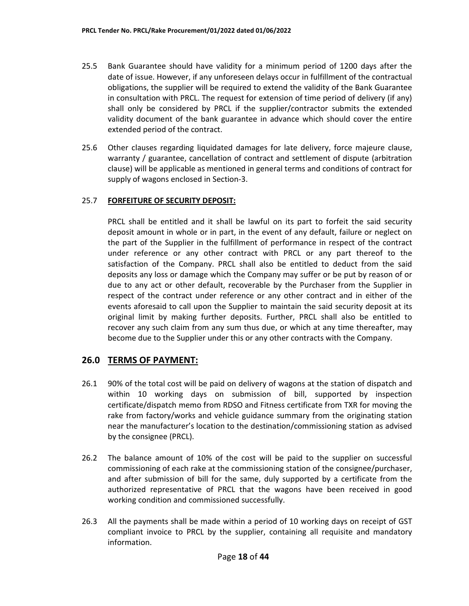- 25.5 Bank Guarantee should have validity for a minimum period of 1200 days after the date of issue. However, if any unforeseen delays occur in fulfillment of the contractual obligations, the supplier will be required to extend the validity of the Bank Guarantee in consultation with PRCL. The request for extension of time period of delivery (if any) shall only be considered by PRCL if the supplier/contractor submits the extended validity document of the bank guarantee in advance which should cover the entire extended period of the contract.
- 25.6 Other clauses regarding liquidated damages for late delivery, force majeure clause, warranty / guarantee, cancellation of contract and settlement of dispute (arbitration clause) will be applicable as mentioned in general terms and conditions of contract for supply of wagons enclosed in Section-3.

#### 25.7 **FORFEITURE OF SECURITY DEPOSIT:**

PRCL shall be entitled and it shall be lawful on its part to forfeit the said security deposit amount in whole or in part, in the event of any default, failure or neglect on the part of the Supplier in the fulfillment of performance in respect of the contract under reference or any other contract with PRCL or any part thereof to the satisfaction of the Company. PRCL shall also be entitled to deduct from the said deposits any loss or damage which the Company may suffer or be put by reason of or due to any act or other default, recoverable by the Purchaser from the Supplier in respect of the contract under reference or any other contract and in either of the events aforesaid to call upon the Supplier to maintain the said security deposit at its original limit by making further deposits. Further, PRCL shall also be entitled to recover any such claim from any sum thus due, or which at any time thereafter, may become due to the Supplier under this or any other contracts with the Company.

### **26.0 TERMS OF PAYMENT:**

- 26.1 90% of the total cost will be paid on delivery of wagons at the station of dispatch and within 10 working days on submission of bill, supported by inspection certificate/dispatch memo from RDSO and Fitness certificate from TXR for moving the rake from factory/works and vehicle guidance summary from the originating station near the manufacturer's location to the destination/commissioning station as advised by the consignee (PRCL).
- 26.2 The balance amount of 10% of the cost will be paid to the supplier on successful commissioning of each rake at the commissioning station of the consignee/purchaser, and after submission of bill for the same, duly supported by a certificate from the authorized representative of PRCL that the wagons have been received in good working condition and commissioned successfully.
- 26.3 All the payments shall be made within a period of 10 working days on receipt of GST compliant invoice to PRCL by the supplier, containing all requisite and mandatory information.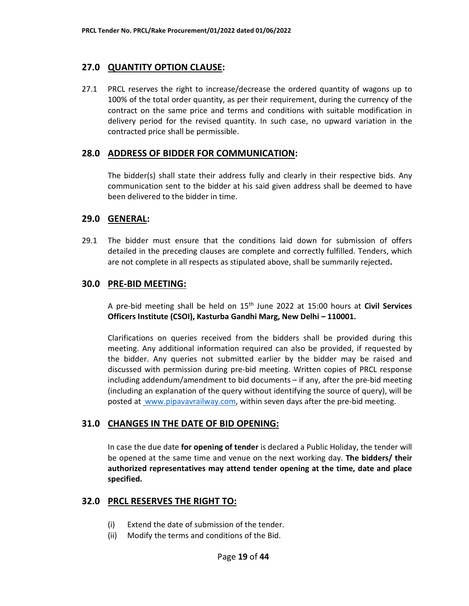#### **27.0 QUANTITY OPTION CLAUSE:**

27.1 PRCL reserves the right to increase/decrease the ordered quantity of wagons up to 100% of the total order quantity, as per their requirement, during the currency of the contract on the same price and terms and conditions with suitable modification in delivery period for the revised quantity. In such case, no upward variation in the contracted price shall be permissible.

#### **28.0 ADDRESS OF BIDDER FOR COMMUNICATION:**

The bidder(s) shall state their address fully and clearly in their respective bids. Any communication sent to the bidder at his said given address shall be deemed to have been delivered to the bidder in time.

#### **29.0 GENERAL:**

29.1 The bidder must ensure that the conditions laid down for submission of offers detailed in the preceding clauses are complete and correctly fulfilled. Tenders, which are not complete in all respects as stipulated above, shall be summarily rejected**.** 

#### **30.0 PRE-BID MEETING:**

A pre-bid meeting shall be held on 15th June 2022 at 15:00 hours at **Civil Services Officers Institute (CSOI), Kasturba Gandhi Marg, New Delhi – 110001.** 

Clarifications on queries received from the bidders shall be provided during this meeting. Any additional information required can also be provided, if requested by the bidder. Any queries not submitted earlier by the bidder may be raised and discussed with permission during pre-bid meeting. Written copies of PRCL response including addendum/amendment to bid documents – if any, after the pre-bid meeting (including an explanation of the query without identifying the source of query), will be posted at www.pipavavrailway.com, within seven days after the pre-bid meeting.

#### **31.0 CHANGES IN THE DATE OF BID OPENING:**

In case the due date **for opening of tender** is declared a Public Holiday, the tender will be opened at the same time and venue on the next working day. **The bidders/ their authorized representatives may attend tender opening at the time, date and place specified.** 

#### **32.0 PRCL RESERVES THE RIGHT TO:**

- (i) Extend the date of submission of the tender.
- (ii) Modify the terms and conditions of the Bid.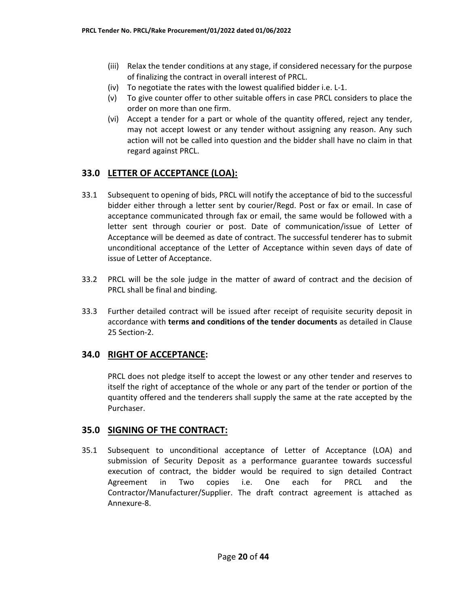- (iii) Relax the tender conditions at any stage, if considered necessary for the purpose of finalizing the contract in overall interest of PRCL.
- (iv) To negotiate the rates with the lowest qualified bidder i.e. L-1.
- (v) To give counter offer to other suitable offers in case PRCL considers to place the order on more than one firm.
- (vi) Accept a tender for a part or whole of the quantity offered, reject any tender, may not accept lowest or any tender without assigning any reason. Any such action will not be called into question and the bidder shall have no claim in that regard against PRCL.

# **33.0 LETTER OF ACCEPTANCE (LOA):**

- 33.1 Subsequent to opening of bids, PRCL will notify the acceptance of bid to the successful bidder either through a letter sent by courier/Regd. Post or fax or email. In case of acceptance communicated through fax or email, the same would be followed with a letter sent through courier or post. Date of communication/issue of Letter of Acceptance will be deemed as date of contract. The successful tenderer has to submit unconditional acceptance of the Letter of Acceptance within seven days of date of issue of Letter of Acceptance.
- 33.2 PRCL will be the sole judge in the matter of award of contract and the decision of PRCL shall be final and binding.
- 33.3 Further detailed contract will be issued after receipt of requisite security deposit in accordance with **terms and conditions of the tender documents** as detailed in Clause 25 Section-2.

# **34.0 RIGHT OF ACCEPTANCE:**

PRCL does not pledge itself to accept the lowest or any other tender and reserves to itself the right of acceptance of the whole or any part of the tender or portion of the quantity offered and the tenderers shall supply the same at the rate accepted by the Purchaser.

### **35.0 SIGNING OF THE CONTRACT:**

35.1 Subsequent to unconditional acceptance of Letter of Acceptance (LOA) and submission of Security Deposit as a performance guarantee towards successful execution of contract, the bidder would be required to sign detailed Contract Agreement in Two copies i.e. One each for PRCL and the Contractor/Manufacturer/Supplier. The draft contract agreement is attached as Annexure-8.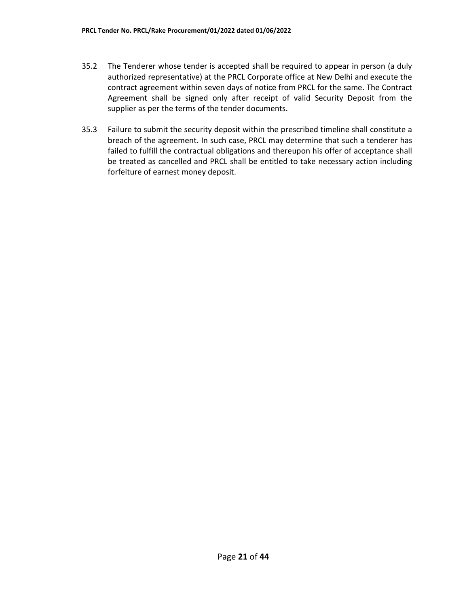- 35.2 The Tenderer whose tender is accepted shall be required to appear in person (a duly authorized representative) at the PRCL Corporate office at New Delhi and execute the contract agreement within seven days of notice from PRCL for the same. The Contract Agreement shall be signed only after receipt of valid Security Deposit from the supplier as per the terms of the tender documents.
- 35.3 Failure to submit the security deposit within the prescribed timeline shall constitute a breach of the agreement. In such case, PRCL may determine that such a tenderer has failed to fulfill the contractual obligations and thereupon his offer of acceptance shall be treated as cancelled and PRCL shall be entitled to take necessary action including forfeiture of earnest money deposit.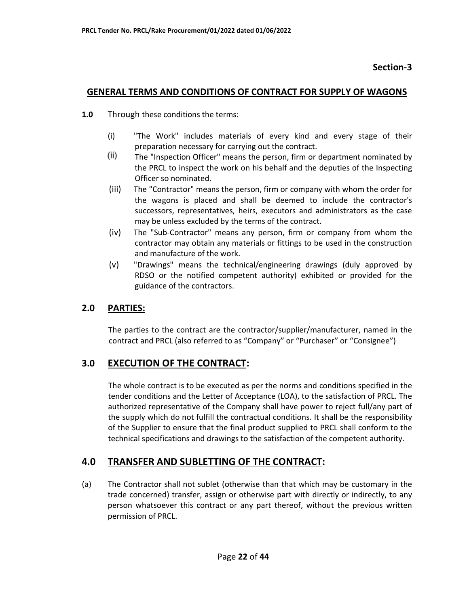### **Section-3**

#### **GENERAL TERMS AND CONDITIONS OF CONTRACT FOR SUPPLY OF WAGONS**

- **1.0** Through these conditions the terms:
	- (i) "The Work" includes materials of every kind and every stage of their preparation necessary for carrying out the contract.
	- $(i)$  The "Inspection Officer" means the person, firm or department nominated by the PRCL to inspect the work on his behalf and the deputies of the Inspecting Officer so nominated.
	- (iii) The "Contractor" means the person, firm or company with whom the order for the wagons is placed and shall be deemed to include the contractor's successors, representatives, heirs, executors and administrators as the case may be unless excluded by the terms of the contract.
	- (iv) The "Sub-Contractor" means any person, firm or company from whom the contractor may obtain any materials or fittings to be used in the construction and manufacture of the work.
	- (v) "Drawings" means the technical/engineering drawings (duly approved by RDSO or the notified competent authority) exhibited or provided for the guidance of the contractors.

### **2.0 PARTIES:**

The parties to the contract are the contractor/supplier/manufacturer, named in the contract and PRCL (also referred to as "Company" or "Purchaser" or "Consignee")

### **3.0 EXECUTION OF THE CONTRACT:**

The whole contract is to be executed as per the norms and conditions specified in the tender conditions and the Letter of Acceptance (LOA), to the satisfaction of PRCL. The authorized representative of the Company shall have power to reject full/any part of the supply which do not fulfill the contractual conditions. It shall be the responsibility of the Supplier to ensure that the final product supplied to PRCL shall conform to the technical specifications and drawings to the satisfaction of the competent authority.

# **4.0 TRANSFER AND SUBLETTING OF THE CONTRACT:**

(a) The Contractor shall not sublet (otherwise than that which may be customary in the trade concerned) transfer, assign or otherwise part with directly or indirectly, to any person whatsoever this contract or any part thereof, without the previous written permission of PRCL.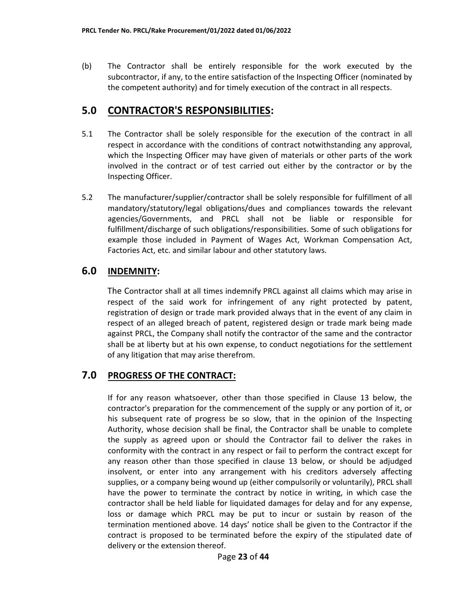(b) The Contractor shall be entirely responsible for the work executed by the subcontractor, if any, to the entire satisfaction of the Inspecting Officer (nominated by the competent authority) and for timely execution of the contract in all respects.

# **5.0 CONTRACTOR'S RESPONSIBILITIES:**

- 5.1 The Contractor shall be solely responsible for the execution of the contract in all respect in accordance with the conditions of contract notwithstanding any approval, which the Inspecting Officer may have given of materials or other parts of the work involved in the contract or of test carried out either by the contractor or by the Inspecting Officer.
- 5.2 The manufacturer/supplier/contractor shall be solely responsible for fulfillment of all mandatory/statutory/legal obligations/dues and compliances towards the relevant agencies/Governments, and PRCL shall not be liable or responsible for fulfillment/discharge of such obligations/responsibilities. Some of such obligations for example those included in Payment of Wages Act, Workman Compensation Act, Factories Act, etc. and similar labour and other statutory laws.

# **6.0 INDEMNITY:**

The Contractor shall at all times indemnify PRCL against all claims which may arise in respect of the said work for infringement of any right protected by patent, registration of design or trade mark provided always that in the event of any claim in respect of an alleged breach of patent, registered design or trade mark being made against PRCL, the Company shall notify the contractor of the same and the contractor shall be at liberty but at his own expense, to conduct negotiations for the settlement of any litigation that may arise therefrom.

# **7.0 PROGRESS OF THE CONTRACT:**

If for any reason whatsoever, other than those specified in Clause 13 below, the contractor's preparation for the commencement of the supply or any portion of it, or his subsequent rate of progress be so slow, that in the opinion of the Inspecting Authority, whose decision shall be final, the Contractor shall be unable to complete the supply as agreed upon or should the Contractor fail to deliver the rakes in conformity with the contract in any respect or fail to perform the contract except for any reason other than those specified in clause 13 below, or should be adjudged insolvent, or enter into any arrangement with his creditors adversely affecting supplies, or a company being wound up (either compulsorily or voluntarily), PRCL shall have the power to terminate the contract by notice in writing, in which case the contractor shall be held liable for liquidated damages for delay and for any expense, loss or damage which PRCL may be put to incur or sustain by reason of the termination mentioned above. 14 days' notice shall be given to the Contractor if the contract is proposed to be terminated before the expiry of the stipulated date of delivery or the extension thereof.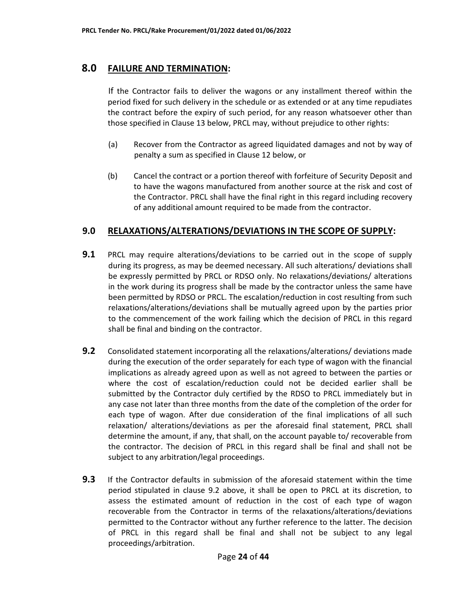### **8.0 FAILURE AND TERMINATION:**

If the Contractor fails to deliver the wagons or any installment thereof within the period fixed for such delivery in the schedule or as extended or at any time repudiates the contract before the expiry of such period, for any reason whatsoever other than those specified in Clause 13 below, PRCL may, without prejudice to other rights:

- (a) Recover from the Contractor as agreed liquidated damages and not by way of penalty a sum as specified in Clause 12 below, or
- (b) Cancel the contract or a portion thereof with forfeiture of Security Deposit and to have the wagons manufactured from another source at the risk and cost of the Contractor. PRCL shall have the final right in this regard including recovery of any additional amount required to be made from the contractor.

# **9.0 RELAXATIONS/ALTERATIONS/DEVIATIONS IN THE SCOPE OF SUPPLY:**

- **9.1** PRCL may require alterations/deviations to be carried out in the scope of supply during its progress, as may be deemed necessary. All such alterations/ deviations shall be expressly permitted by PRCL or RDSO only. No relaxations/deviations/ alterations in the work during its progress shall be made by the contractor unless the same have been permitted by RDSO or PRCL. The escalation/reduction in cost resulting from such relaxations/alterations/deviations shall be mutually agreed upon by the parties prior to the commencement of the work failing which the decision of PRCL in this regard shall be final and binding on the contractor.
- **9.2** Consolidated statement incorporating all the relaxations/alterations/ deviations made during the execution of the order separately for each type of wagon with the financial implications as already agreed upon as well as not agreed to between the parties or where the cost of escalation/reduction could not be decided earlier shall be submitted by the Contractor duly certified by the RDSO to PRCL immediately but in any case not later than three months from the date of the completion of the order for each type of wagon. After due consideration of the final implications of all such relaxation/ alterations/deviations as per the aforesaid final statement, PRCL shall determine the amount, if any, that shall, on the account payable to/ recoverable from the contractor. The decision of PRCL in this regard shall be final and shall not be subject to any arbitration/legal proceedings.
- **9.3** If the Contractor defaults in submission of the aforesaid statement within the time period stipulated in clause 9.2 above, it shall be open to PRCL at its discretion, to assess the estimated amount of reduction in the cost of each type of wagon recoverable from the Contractor in terms of the relaxations/alterations/deviations permitted to the Contractor without any further reference to the latter. The decision of PRCL in this regard shall be final and shall not be subject to any legal proceedings/arbitration.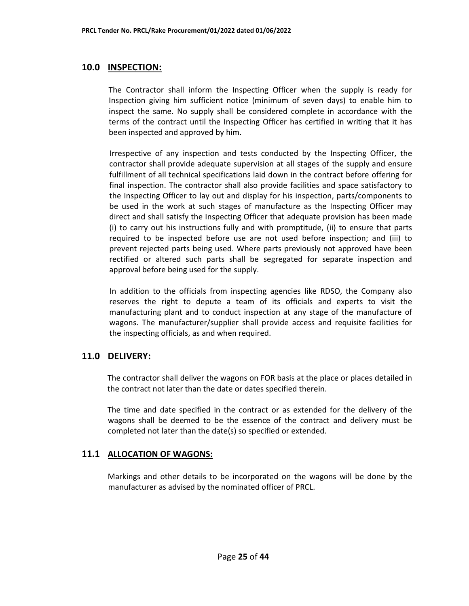### **10.0 INSPECTION:**

The Contractor shall inform the Inspecting Officer when the supply is ready for Inspection giving him sufficient notice (minimum of seven days) to enable him to inspect the same. No supply shall be considered complete in accordance with the terms of the contract until the Inspecting Officer has certified in writing that it has been inspected and approved by him.

Irrespective of any inspection and tests conducted by the Inspecting Officer, the contractor shall provide adequate supervision at all stages of the supply and ensure fulfillment of all technical specifications laid down in the contract before offering for final inspection. The contractor shall also provide facilities and space satisfactory to the Inspecting Officer to lay out and display for his inspection, parts/components to be used in the work at such stages of manufacture as the Inspecting Officer may direct and shall satisfy the Inspecting Officer that adequate provision has been made (i) to carry out his instructions fully and with promptitude, (ii) to ensure that parts required to be inspected before use are not used before inspection; and (iii) to prevent rejected parts being used. Where parts previously not approved have been rectified or altered such parts shall be segregated for separate inspection and approval before being used for the supply.

In addition to the officials from inspecting agencies like RDSO, the Company also reserves the right to depute a team of its officials and experts to visit the manufacturing plant and to conduct inspection at any stage of the manufacture of wagons. The manufacturer/supplier shall provide access and requisite facilities for the inspecting officials, as and when required.

### **11.0 DELIVERY:**

The contractor shall deliver the wagons on FOR basis at the place or places detailed in the contract not later than the date or dates specified therein.

The time and date specified in the contract or as extended for the delivery of the wagons shall be deemed to be the essence of the contract and delivery must be completed not later than the date(s) so specified or extended.

### **11.1 ALLOCATION OF WAGONS:**

Markings and other details to be incorporated on the wagons will be done by the manufacturer as advised by the nominated officer of PRCL.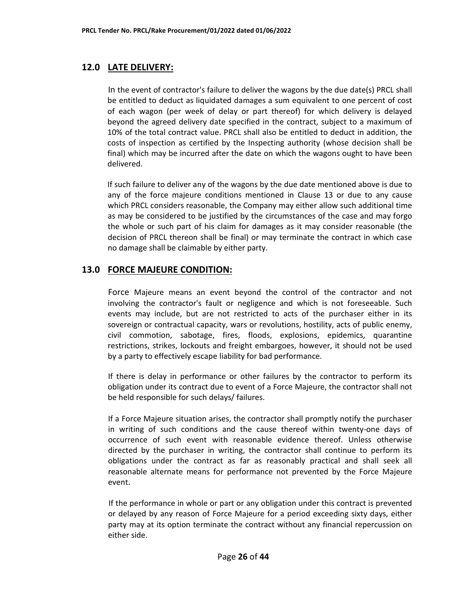# **12.0 LATE DELIVERY:**

In the event of contractor's failure to deliver the wagons by the due date(s) PRCL shall be entitled to deduct as liquidated damages a sum equivalent to one percent of cost of each wagon (per week of delay or part thereof) for which delivery is delayed beyond the agreed delivery date specified in the contract, subject to a maximum of 10% of the total contract value. PRCL shall also be entitled to deduct in addition, the costs of inspection as certified by the Inspecting authority (whose decision shall be final) which may be incurred after the date on which the wagons ought to have been delivered.

If such failure to deliver any of the wagons by the due date mentioned above is due to any of the force majeure conditions mentioned in Clause 13 or due to any cause which PRCL considers reasonable, the Company may either allow such additional time as may be considered to be justified by the circumstances of the case and may forgo the whole or such part of his claim for damages as it may consider reasonable (the decision of PRCL thereon shall be final) or may terminate the contract in which case no damage shall be claimable by either party.

# **13.0 FORCE MAJEURE CONDITION:**

Force Majeure means an event beyond the control of the contractor and not involving the contractor's fault or negligence and which is not foreseeable. Such events may include, but are not restricted to acts of the purchaser either in its sovereign or contractual capacity, wars or revolutions, hostility, acts of public enemy, civil commotion, sabotage, fires, floods, explosions, epidemics, quarantine restrictions, strikes, lockouts and freight embargoes, however, it should not be used by a party to effectively escape liability for bad performance.

If there is delay in performance or other failures by the contractor to perform its obligation under its contract due to event of a Force Majeure, the contractor shall not be held responsible for such delays/ failures.

If a Force Majeure situation arises, the contractor shall promptly notify the purchaser in writing of such conditions and the cause thereof within twenty-one days of occurrence of such event with reasonable evidence thereof. Unless otherwise directed by the purchaser in writing, the contractor shall continue to perform its obligations under the contract as far as reasonably practical and shall seek all reasonable alternate means for performance not prevented by the Force Majeure event.

If the performance in whole or part or any obligation under this contract is prevented or delayed by any reason of Force Majeure for a period exceeding sixty days, either party may at its option terminate the contract without any financial repercussion on either side.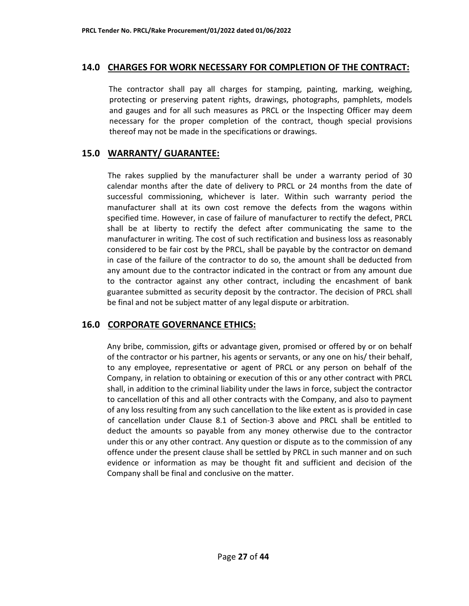#### **14.0 CHARGES FOR WORK NECESSARY FOR COMPLETION OF THE CONTRACT:**

The contractor shall pay all charges for stamping, painting, marking, weighing, protecting or preserving patent rights, drawings, photographs, pamphlets, models and gauges and for all such measures as PRCL or the Inspecting Officer may deem necessary for the proper completion of the contract, though special provisions thereof may not be made in the specifications or drawings.

### **15.0 WARRANTY/ GUARANTEE:**

The rakes supplied by the manufacturer shall be under a warranty period of 30 calendar months after the date of delivery to PRCL or 24 months from the date of successful commissioning, whichever is later. Within such warranty period the manufacturer shall at its own cost remove the defects from the wagons within specified time. However, in case of failure of manufacturer to rectify the defect, PRCL shall be at liberty to rectify the defect after communicating the same to the manufacturer in writing. The cost of such rectification and business loss as reasonably considered to be fair cost by the PRCL, shall be payable by the contractor on demand in case of the failure of the contractor to do so, the amount shall be deducted from any amount due to the contractor indicated in the contract or from any amount due to the contractor against any other contract, including the encashment of bank guarantee submitted as security deposit by the contractor. The decision of PRCL shall be final and not be subject matter of any legal dispute or arbitration.

# **16.0 CORPORATE GOVERNANCE ETHICS:**

Any bribe, commission, gifts or advantage given, promised or offered by or on behalf of the contractor or his partner, his agents or servants, or any one on his/ their behalf, to any employee, representative or agent of PRCL or any person on behalf of the Company, in relation to obtaining or execution of this or any other contract with PRCL shall, in addition to the criminal liability under the laws in force, subject the contractor to cancellation of this and all other contracts with the Company, and also to payment of any loss resulting from any such cancellation to the like extent as is provided in case of cancellation under Clause 8.1 of Section-3 above and PRCL shall be entitled to deduct the amounts so payable from any money otherwise due to the contractor under this or any other contract. Any question or dispute as to the commission of any offence under the present clause shall be settled by PRCL in such manner and on such evidence or information as may be thought fit and sufficient and decision of the Company shall be final and conclusive on the matter.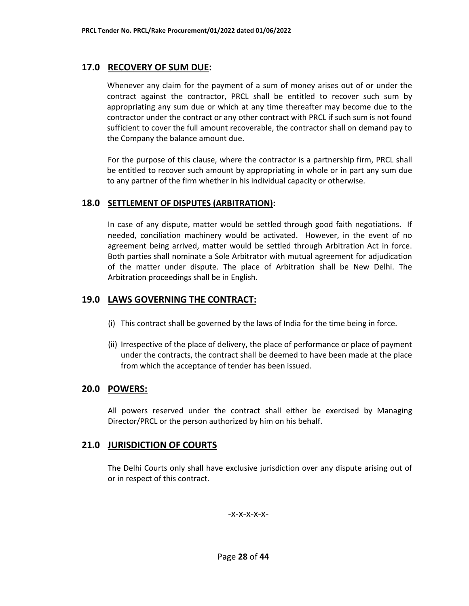### **17.0 RECOVERY OF SUM DUE:**

Whenever any claim for the payment of a sum of money arises out of or under the contract against the contractor, PRCL shall be entitled to recover such sum by appropriating any sum due or which at any time thereafter may become due to the contractor under the contract or any other contract with PRCL if such sum is not found sufficient to cover the full amount recoverable, the contractor shall on demand pay to the Company the balance amount due.

For the purpose of this clause, where the contractor is a partnership firm, PRCL shall be entitled to recover such amount by appropriating in whole or in part any sum due to any partner of the firm whether in his individual capacity or otherwise.

#### **18.0 SETTLEMENT OF DISPUTES (ARBITRATION):**

In case of any dispute, matter would be settled through good faith negotiations. If needed, conciliation machinery would be activated. However, in the event of no agreement being arrived, matter would be settled through Arbitration Act in force. Both parties shall nominate a Sole Arbitrator with mutual agreement for adjudication of the matter under dispute. The place of Arbitration shall be New Delhi. The Arbitration proceedings shall be in English.

# **19.0 LAWS GOVERNING THE CONTRACT:**

- (i) This contract shall be governed by the laws of India for the time being in force.
- (ii) Irrespective of the place of delivery, the place of performance or place of payment under the contracts, the contract shall be deemed to have been made at the place from which the acceptance of tender has been issued.

### **20.0 POWERS:**

All powers reserved under the contract shall either be exercised by Managing Director/PRCL or the person authorized by him on his behalf.

### **21.0 JURISDICTION OF COURTS**

The Delhi Courts only shall have exclusive jurisdiction over any dispute arising out of or in respect of this contract.

-x-x-x-x-x-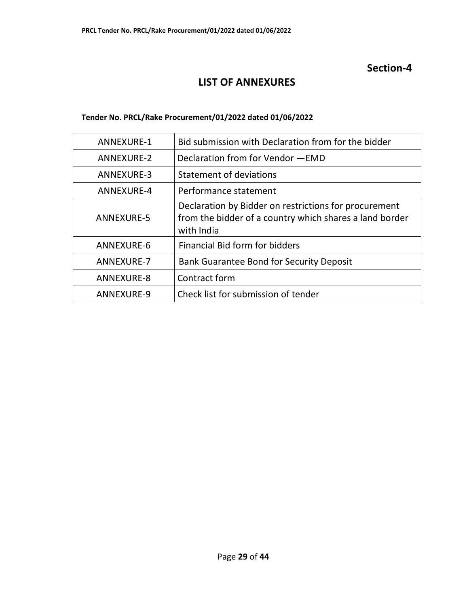# **Section-4**

# **LIST OF ANNEXURES**

#### **Tender No. PRCL/Rake Procurement/01/2022 dated 01/06/2022**

| ANNEXURE-1        | Bid submission with Declaration from for the bidder                                                                            |
|-------------------|--------------------------------------------------------------------------------------------------------------------------------|
| ANNEXURE-2        | Declaration from for Vendor - EMD                                                                                              |
| ANNEXURE-3        | <b>Statement of deviations</b>                                                                                                 |
| ANNEXURE-4        | Performance statement                                                                                                          |
| ANNEXURE-5        | Declaration by Bidder on restrictions for procurement<br>from the bidder of a country which shares a land border<br>with India |
| ANNEXURE-6        | Financial Bid form for bidders                                                                                                 |
| <b>ANNEXURE-7</b> | <b>Bank Guarantee Bond for Security Deposit</b>                                                                                |
| ANNEXURE-8        | Contract form                                                                                                                  |
| ANNEXURE-9        | Check list for submission of tender                                                                                            |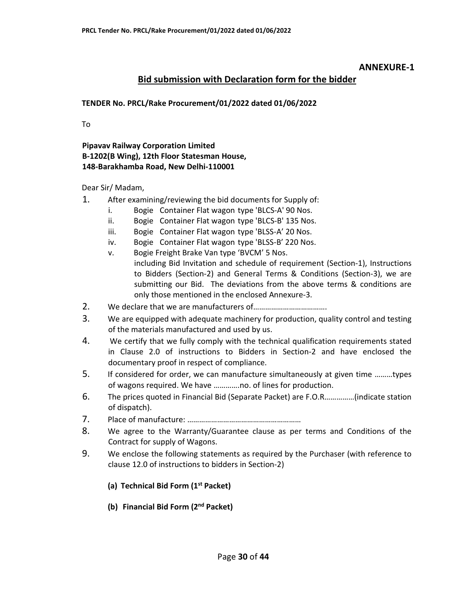### **Bid submission with Declaration form for the bidder**

#### **TENDER No. PRCL/Rake Procurement/01/2022 dated 01/06/2022**

To

#### **Pipavav Railway Corporation Limited B-1202(B Wing), 12th Floor Statesman House, 148-Barakhamba Road, New Delhi-110001**

Dear Sir/ Madam,

- 1. After examining/reviewing the bid documents for Supply of:
	- i. Bogie Container Flat wagon type 'BLCS-A' 90 Nos.
	- ii. Bogie Container Flat wagon type 'BLCS-B' 135 Nos.
	- iii. Bogie Container Flat wagon type 'BLSS-A' 20 Nos.
	- iv. Bogie Container Flat wagon type 'BLSS-B' 220 Nos.
	- v. Bogie Freight Brake Van type 'BVCM' 5 Nos. including Bid Invitation and schedule of requirement (Section-1), Instructions to Bidders (Section-2) and General Terms & Conditions (Section-3), we are submitting our Bid. The deviations from the above terms & conditions are only those mentioned in the enclosed Annexure-3.
- 2. We declare that we are manufacturers of……………………………….
- 3. We are equipped with adequate machinery for production, quality control and testing of the materials manufactured and used by us.
- 4. We certify that we fully comply with the technical qualification requirements stated in Clause 2.0 of instructions to Bidders in Section-2 and have enclosed the documentary proof in respect of compliance.
- 5. If considered for order, we can manufacture simultaneously at given time ………types of wagons required. We have ………….no. of lines for production.
- 6. The prices quoted in Financial Bid (Separate Packet) are F.O.R……………(indicate station of dispatch).
- 7. Place of manufacture: …………………………………………………
- 8. We agree to the Warranty/Guarantee clause as per terms and Conditions of the Contract for supply of Wagons.
- 9. We enclose the following statements as required by the Purchaser (with reference to clause 12.0 of instructions to bidders in Section-2)
	- **(a) Technical Bid Form (1st Packet)**
	- **(b) Financial Bid Form (2nd Packet)**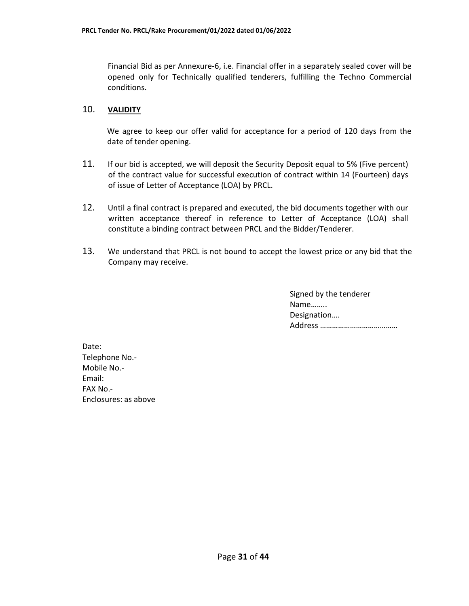Financial Bid as per Annexure-6, i.e. Financial offer in a separately sealed cover will be opened only for Technically qualified tenderers, fulfilling the Techno Commercial conditions.

#### 10. **VALIDITY**

We agree to keep our offer valid for acceptance for a period of 120 days from the date of tender opening.

- 11. If our bid is accepted, we will deposit the Security Deposit equal to 5% (Five percent) of the contract value for successful execution of contract within 14 (Fourteen) days of issue of Letter of Acceptance (LOA) by PRCL.
- 12. Until a final contract is prepared and executed, the bid documents together with our written acceptance thereof in reference to Letter of Acceptance (LOA) shall constitute a binding contract between PRCL and the Bidder/Tenderer.
- 13. We understand that PRCL is not bound to accept the lowest price or any bid that the Company may receive.

| Signed by the tenderer |
|------------------------|
| Name                   |
| Designation            |
|                        |

Date: Telephone No.- Mobile No.- Email: FAX No.- Enclosures: as above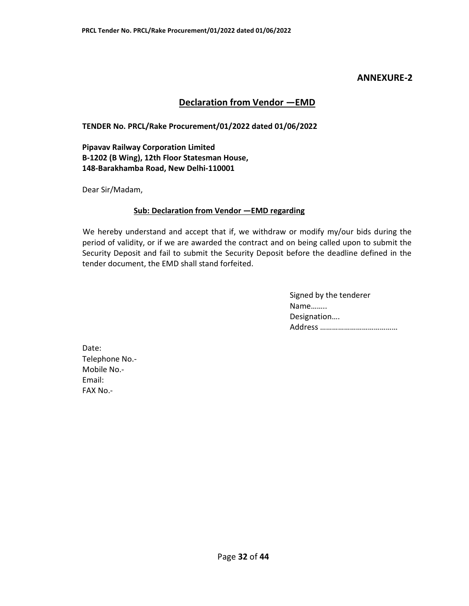#### **Declaration from Vendor —EMD**

#### **TENDER No. PRCL/Rake Procurement/01/2022 dated 01/06/2022**

**Pipavav Railway Corporation Limited B-1202 (B Wing), 12th Floor Statesman House, 148-Barakhamba Road, New Delhi-110001** 

Dear Sir/Madam,

#### **Sub: Declaration from Vendor —EMD regarding**

We hereby understand and accept that if, we withdraw or modify my/our bids during the period of validity, or if we are awarded the contract and on being called upon to submit the Security Deposit and fail to submit the Security Deposit before the deadline defined in the tender document, the EMD shall stand forfeited.

> Signed by the tenderer Name…….. Designation…. Address …………………………………

Date: Telephone No.- Mobile No.- Email: FAX No.-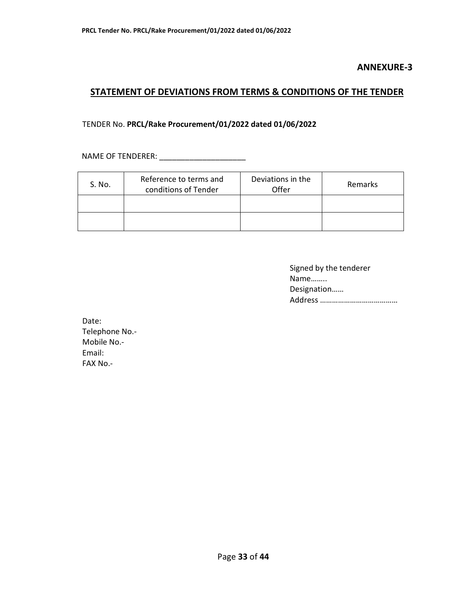# **STATEMENT OF DEVIATIONS FROM TERMS & CONDITIONS OF THE TENDER**

#### TENDER No. **PRCL/Rake Procurement/01/2022 dated 01/06/2022**

NAME OF TENDERER: \_\_\_\_\_\_\_\_\_\_\_\_\_\_\_\_\_\_\_\_\_\_\_\_\_

| S. No. | Reference to terms and<br>conditions of Tender | Deviations in the<br>Offer | Remarks |
|--------|------------------------------------------------|----------------------------|---------|
|        |                                                |                            |         |
|        |                                                |                            |         |

| Signed by the tenderer |
|------------------------|
| Name                   |
| Designation            |
|                        |

Date: Telephone No.- Mobile No.- Email: FAX No.-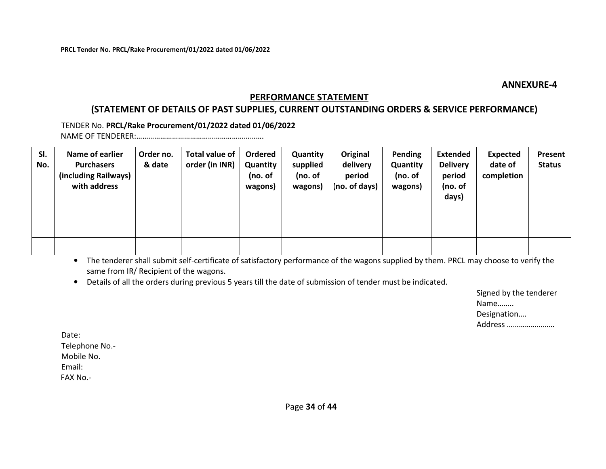# **PERFORMANCE STATEMENT**

# **(STATEMENT OF DETAILS OF PAST SUPPLIES, CURRENT OUTSTANDING ORDERS & SERVICE PERFORMANCE)**

TENDER No. **PRCL/Rake Procurement/01/2022 dated 01/06/2022**NAME OF TENDERER:……………………………………………………….

| SI.<br>No. | Name of earlier<br><b>Purchasers</b><br>(including Railways)<br>with address | Order no.<br>& date | Total value of<br>order (in INR) | Ordered<br>Quantity<br>(no. of<br>wagons) | Quantity<br>supplied<br>(no. of<br>wagons) | Original<br>delivery<br>period<br>(no. of days) | Pending<br>Quantity<br>(no. of<br>wagons) | <b>Extended</b><br><b>Delivery</b><br>period<br>(no. of<br>days) | <b>Expected</b><br>date of<br>completion | Present<br><b>Status</b> |
|------------|------------------------------------------------------------------------------|---------------------|----------------------------------|-------------------------------------------|--------------------------------------------|-------------------------------------------------|-------------------------------------------|------------------------------------------------------------------|------------------------------------------|--------------------------|
|            |                                                                              |                     |                                  |                                           |                                            |                                                 |                                           |                                                                  |                                          |                          |
|            |                                                                              |                     |                                  |                                           |                                            |                                                 |                                           |                                                                  |                                          |                          |
|            |                                                                              |                     |                                  |                                           |                                            |                                                 |                                           |                                                                  |                                          |                          |

• The tenderer shall submit self-certificate of satisfactory performance of the wagons supplied by them. PRCL may choose to verify the same from IR/ Recipient of the wagons.

• Details of all the orders during previous 5 years till the date of submission of tender must be indicated.

| Signed by the tenderer |
|------------------------|
| Name                   |
| Designation            |
| Address                |

Date: Telephone No.- Mobile No. Email: FAX No.-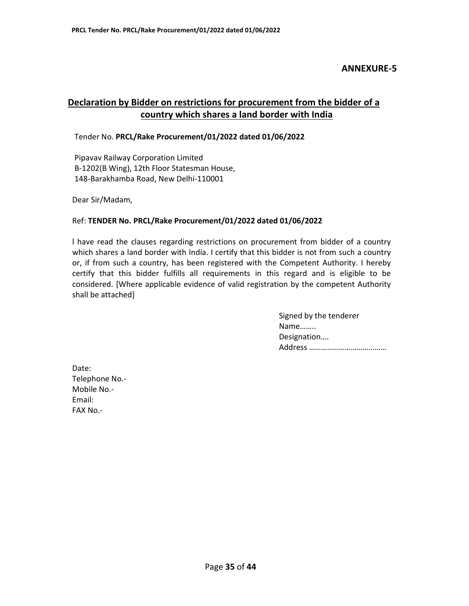# **Declaration by Bidder on restrictions for procurement from the bidder of a country which shares a land border with India**

Tender No. **PRCL/Rake Procurement/01/2022 dated 01/06/2022**

Pipavav Railway Corporation Limited B-1202(B Wing), 12th Floor Statesman House, 148-Barakhamba Road, New Delhi-110001

Dear Sir/Madam,

#### Ref: **TENDER No. PRCL/Rake Procurement/01/2022 dated 01/06/2022**

l have read the clauses regarding restrictions on procurement from bidder of a country which shares a land border with India. I certify that this bidder is not from such a country or, if from such a country, has been registered with the Competent Authority. I hereby certify that this bidder fulfills all requirements in this regard and is eligible to be considered. [Where applicable evidence of valid registration by the competent Authority shall be attached]

> Signed by the tenderer Name…….. Designation…. Address …………………………………

Date: Telephone No.- Mobile No.- Email: FAX No.-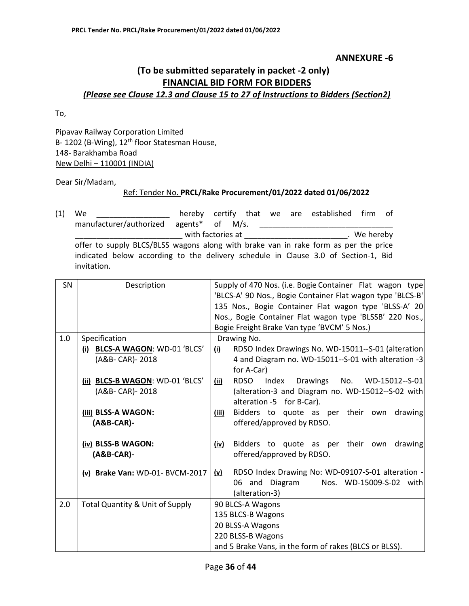# **(To be submitted separately in packet -2 only) FINANCIAL BID FORM FOR BIDDERS**  *(Please see Clause 12.3 and Clause 15 to 27 of Instructions to Bidders (Section2)*

To,

Pipavav Railway Corporation Limited B- 1202 (B-Wing), 12<sup>th</sup> floor Statesman House, 148- Barakhamba Road New Delhi – 110001 (INDIA)

Dear Sir/Madam,

#### Ref: Tender No. **PRCL/Rake Procurement/01/2022 dated 01/06/2022**

(1) We \_\_\_\_\_\_\_\_\_\_\_\_\_\_\_\_\_ hereby certify that we are established firm of manufacturer/authorized agents\* of M/s. \_\_\_\_\_\_\_\_\_\_\_\_\_\_\_\_\_\_\_\_\_\_\_\_\_\_\_\_\_\_\_ \_\_\_\_\_\_\_\_\_\_\_\_\_\_\_\_\_\_\_\_\_\_\_\_\_ with factories at \_\_\_\_\_\_\_\_\_\_\_\_\_\_\_\_\_\_\_\_\_\_\_\_. We hereby offer to supply BLCS/BLSS wagons along with brake van in rake form as per the price indicated below according to the delivery schedule in Clause 3.0 of Section-1, Bid invitation.

| SN  | Description                                | Supply of 470 Nos. (i.e. Bogie Container Flat wagon type          |
|-----|--------------------------------------------|-------------------------------------------------------------------|
|     |                                            | 'BLCS-A' 90 Nos., Bogie Container Flat wagon type 'BLCS-B'        |
|     |                                            | 135 Nos., Bogie Container Flat wagon type 'BLSS-A' 20             |
|     |                                            | Nos., Bogie Container Flat wagon type 'BLSSB' 220 Nos.,           |
|     |                                            | Bogie Freight Brake Van type 'BVCM' 5 Nos.)                       |
| 1.0 | Specification                              | Drawing No.                                                       |
|     | (i) BLCS-A WAGON: WD-01 'BLCS'             | RDSO Index Drawings No. WD-15011--S-01 (alteration<br>(i)         |
|     | (A&B- CAR)- 2018                           | 4 and Diagram no. WD-15011--S-01 with alteration -3               |
|     |                                            | for A-Car)                                                        |
|     | (ii) BLCS-B WAGON: WD-01 'BLCS'            | <b>RDSO</b><br>Drawings<br>WD-15012--S-01<br>Index<br>No.<br>(ii) |
|     | (A&B- CAR)- 2018                           | (alteration-3 and Diagram no. WD-15012--S-02 with                 |
|     |                                            | alteration -5 for B-Car).                                         |
|     | (iii) BLSS-A WAGON:                        | Bidders to quote as per their own drawing<br>(iii)                |
|     | $(A&B-CAR)$ -                              | offered/approved by RDSO.                                         |
|     |                                            |                                                                   |
|     | (iv) BLSS-B WAGON:                         | Bidders to quote as per their own<br>drawing<br>(iv)              |
|     | $(AB-CAR)$ -                               | offered/approved by RDSO.                                         |
|     | (v) Brake Van: WD-01- BVCM-2017            | RDSO Index Drawing No: WD-09107-S-01 alteration -<br><u>(v)</u>   |
|     |                                            | 06 and Diagram<br>Nos. WD-15009-S-02 with                         |
|     |                                            | (alteration-3)                                                    |
| 2.0 | <b>Total Quantity &amp; Unit of Supply</b> | 90 BLCS-A Wagons                                                  |
|     |                                            | 135 BLCS-B Wagons                                                 |
|     |                                            | 20 BLSS-A Wagons                                                  |
|     |                                            | 220 BLSS-B Wagons                                                 |
|     |                                            | and 5 Brake Vans, in the form of rakes (BLCS or BLSS).            |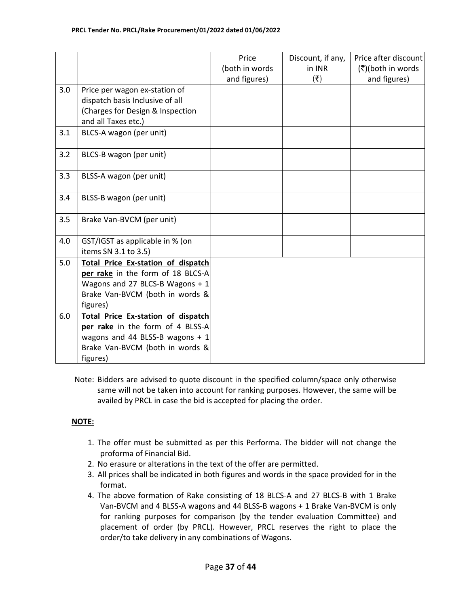|     |                                    | Price          | Discount, if any,         | Price after discount |
|-----|------------------------------------|----------------|---------------------------|----------------------|
|     |                                    | (both in words | in INR                    | (₹)(both in words    |
|     |                                    | and figures)   | $(\overline{\mathbf{z}})$ | and figures)         |
| 3.0 | Price per wagon ex-station of      |                |                           |                      |
|     | dispatch basis Inclusive of all    |                |                           |                      |
|     | (Charges for Design & Inspection   |                |                           |                      |
|     | and all Taxes etc.)                |                |                           |                      |
| 3.1 | BLCS-A wagon (per unit)            |                |                           |                      |
|     |                                    |                |                           |                      |
| 3.2 | BLCS-B wagon (per unit)            |                |                           |                      |
|     |                                    |                |                           |                      |
| 3.3 | BLSS-A wagon (per unit)            |                |                           |                      |
|     |                                    |                |                           |                      |
| 3.4 | BLSS-B wagon (per unit)            |                |                           |                      |
|     |                                    |                |                           |                      |
| 3.5 | Brake Van-BVCM (per unit)          |                |                           |                      |
|     |                                    |                |                           |                      |
| 4.0 | GST/IGST as applicable in % (on    |                |                           |                      |
|     | items SN 3.1 to 3.5)               |                |                           |                      |
| 5.0 | Total Price Ex-station of dispatch |                |                           |                      |
|     | per rake in the form of 18 BLCS-A  |                |                           |                      |
|     | Wagons and 27 BLCS-B Wagons + 1    |                |                           |                      |
|     | Brake Van-BVCM (both in words &    |                |                           |                      |
|     | figures)                           |                |                           |                      |
| 6.0 | Total Price Ex-station of dispatch |                |                           |                      |
|     | per rake in the form of 4 BLSS-A   |                |                           |                      |
|     | wagons and 44 BLSS-B wagons $+1$   |                |                           |                      |
|     | Brake Van-BVCM (both in words &    |                |                           |                      |
|     | figures)                           |                |                           |                      |

Note: Bidders are advised to quote discount in the specified column/space only otherwise same will not be taken into account for ranking purposes. However, the same will be availed by PRCL in case the bid is accepted for placing the order.

### **NOTE:**

- 1. The offer must be submitted as per this Performa. The bidder will not change the proforma of Financial Bid.
- 2. No erasure or alterations in the text of the offer are permitted.
- 3. All prices shall be indicated in both figures and words in the space provided for in the format.
- 4. The above formation of Rake consisting of 18 BLCS-A and 27 BLCS-B with 1 Brake Van-BVCM and 4 BLSS-A wagons and 44 BLSS-B wagons + 1 Brake Van-BVCM is only for ranking purposes for comparison (by the tender evaluation Committee) and placement of order (by PRCL). However, PRCL reserves the right to place the order/to take delivery in any combinations of Wagons.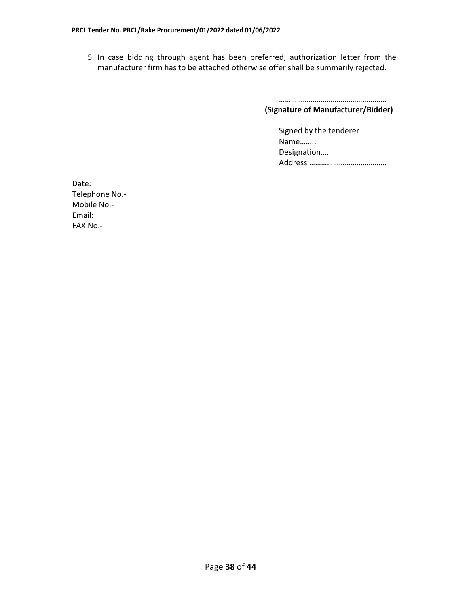5. In case bidding through agent has been preferred, authorization letter from the manufacturer firm has to be attached otherwise offer shall be summarily rejected.

> ………………………………………………  **(Signature of Manufacturer/Bidder)**

> > Signed by the tenderer Name…….. Designation…. Address …………………………………

Date: Telephone No.- Mobile No.- Email: FAX No.-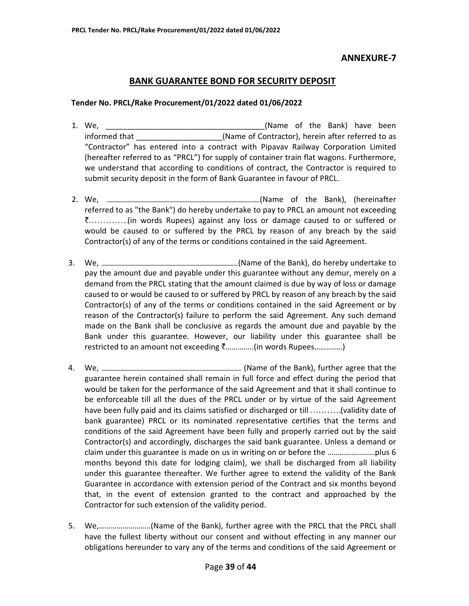### **BANK GUARANTEE BOND FOR SECURITY DEPOSIT**

#### **Tender No. PRCL/Rake Procurement/01/2022 dated 01/06/2022**

- 1. We, \_\_\_\_\_\_\_\_\_\_\_\_\_\_\_\_\_\_\_\_\_\_\_\_\_\_\_\_\_\_\_\_\_\_\_\_\_(Name of the Bank) have been informed that \_\_\_\_\_\_\_\_\_\_\_\_\_\_\_\_\_\_\_\_(Name of Contractor), herein after referred to as "Contractor" has entered into a contract with Pipavav Railway Corporation Limited (hereafter referred to as "PRCL") for supply of container train flat wagons. Furthermore, we understand that according to conditions of contract, the Contractor is required to submit security deposit in the form of Bank Guarantee in favour of PRCL.
- 2. We, (Name of the Bank), (hereinafter referred to as "the Bank") do hereby undertake to pay to PRCL an amount not exceeding  $\bar{z}$ ..............(in words Rupees) against any loss or damage caused to or suffered or would be caused to or suffered by the PRCL by reason of any breach by the said Contractor(s) of any of the terms or conditions contained in the said Agreement.
- 3. We, (Name of the Bank), do hereby undertake to pay the amount due and payable under this guarantee without any demur, merely on a demand from the PRCL stating that the amount claimed is due by way of loss or damage caused to or would be caused to or suffered by PRCL by reason of any breach by the said Contractor(s) of any of the terms or conditions contained in the said Agreement or by reason of the Contractor(s) failure to perform the said Agreement. Any such demand made on the Bank shall be conclusive as regards the amount due and payable by the Bank under this guarantee. However, our liability under this guarantee shall be restricted to an amount not exceeding  $\bar{z}$ ..............(in words Rupees...............)
- 4. We, (Name of the Bank), further agree that the guarantee herein contained shall remain in full force and effect during the period that would be taken for the performance of the said Agreement and that it shall continue to be enforceable till all the dues of the PRCL under or by virtue of the said Agreement have been fully paid and its claims satisfied or discharged or till ..........(validity date of bank guarantee) PRCL or its nominated representative certifies that the terms and conditions of the said Agreement have been fully and properly carried out by the said Contractor(s) and accordingly, discharges the said bank guarantee. Unless a demand or claim under this guarantee is made on us in writing on or before the ……………………plus 6 months beyond this date for lodging claim), we shall be discharged from all liability under this guarantee thereafter. We further agree to extend the validity of the Bank Guarantee in accordance with extension period of the Contract and six months beyond that, in the event of extension granted to the contract and approached by the Contractor for such extension of the validity period.
- 5. We,……………………..(Name of the Bank), further agree with the PRCL that the PRCL shall have the fullest liberty without our consent and without effecting in any manner our obligations hereunder to vary any of the terms and conditions of the said Agreement or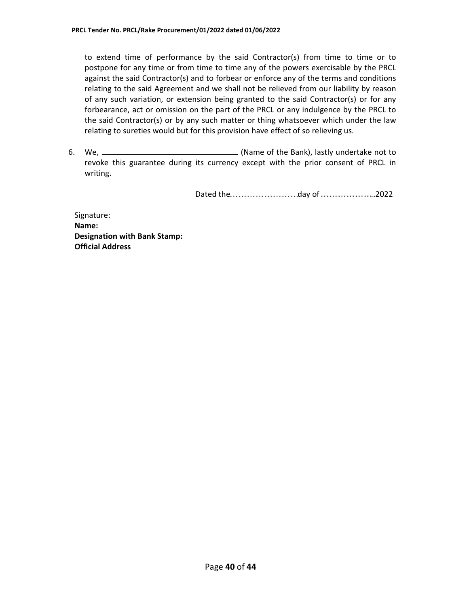to extend time of performance by the said Contractor(s) from time to time or to postpone for any time or from time to time any of the powers exercisable by the PRCL against the said Contractor(s) and to forbear or enforce any of the terms and conditions relating to the said Agreement and we shall not be relieved from our liability by reason of any such variation, or extension being granted to the said Contractor(s) or for any forbearance, act or omission on the part of the PRCL or any indulgence by the PRCL to the said Contractor(s) or by any such matter or thing whatsoever which under the law relating to sureties would but for this provision have effect of so relieving us.

6. We, (Name of the Bank), lastly undertake not to revoke this guarantee during its currency except with the prior consent of PRCL in writing.

Dated the day of ..2022

Signature: **Name: Designation with Bank Stamp: Official Address**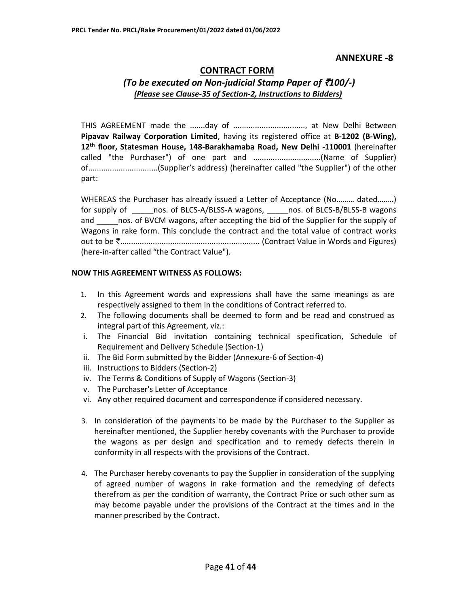#### **CONTRACT FORM**  *(To be executed on Non-judicial Stamp Paper of* `*100/-) (Please see Clause-35 of Section-2, Instructions to Bidders)*

THIS AGREEMENT made the .......day of ................................., at New Delhi Between **Pipavav Railway Corporation Limited**, having its registered office at **B-1202 (B-Wing), 12th floor, Statesman House, 148-Barakhamaba Road, New Delhi -110001** (hereinafter called "the Purchaser") of one part and ...............................(Name of Supplier) of................................(Supplier's address) (hereinafter called "the Supplier") of the other part:

WHEREAS the Purchaser has already issued a Letter of Acceptance (No……… dated……..) for supply of \_\_\_\_\_nos. of BLCS-A/BLSS-A wagons, \_\_\_\_\_nos. of BLCS-B/BLSS-B wagons and \_\_\_\_\_\_\_nos. of BVCM wagons, after accepting the bid of the Supplier for the supply of Wagons in rake form. This conclude the contract and the total value of contract works out to be `................................................................ (Contract Value in Words and Figures) (here-in-after called "the Contract Value").

#### **NOW THIS AGREEMENT WITNESS AS FOLLOWS:**

- 1. In this Agreement words and expressions shall have the same meanings as are respectively assigned to them in the conditions of Contract referred to.
- 2. The following documents shall be deemed to form and be read and construed as integral part of this Agreement, viz.:
- i. The Financial Bid invitation containing technical specification, Schedule of Requirement and Delivery Schedule (Section-1)
- ii. The Bid Form submitted by the Bidder (Annexure-6 of Section-4)
- iii. Instructions to Bidders (Section-2)
- iv. The Terms & Conditions of Supply of Wagons (Section-3)
- v. The Purchaser's Letter of Acceptance
- vi. Any other required document and correspondence if considered necessary.
- 3. In consideration of the payments to be made by the Purchaser to the Supplier as hereinafter mentioned, the Supplier hereby covenants with the Purchaser to provide the wagons as per design and specification and to remedy defects therein in conformity in all respects with the provisions of the Contract.
- 4. The Purchaser hereby covenants to pay the Supplier in consideration of the supplying of agreed number of wagons in rake formation and the remedying of defects therefrom as per the condition of warranty, the Contract Price or such other sum as may become payable under the provisions of the Contract at the times and in the manner prescribed by the Contract.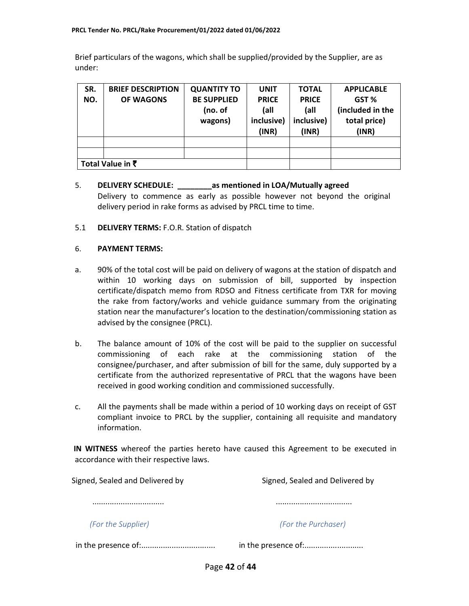Brief particulars of the wagons, which shall be supplied/provided by the Supplier, are as under:

| SR. | <b>BRIEF DESCRIPTION</b> | <b>QUANTITY TO</b> | <b>UNIT</b>  | <b>TOTAL</b> | <b>APPLICABLE</b> |
|-----|--------------------------|--------------------|--------------|--------------|-------------------|
| NO. | OF WAGONS                | <b>BE SUPPLIED</b> | <b>PRICE</b> | <b>PRICE</b> | GST %             |
|     |                          | (no. of            | (all         | (all         | (included in the  |
|     |                          | wagons)            | inclusive)   | inclusive)   | total price)      |
|     |                          |                    | (INR)        | (INR)        | (INR)             |
|     |                          |                    |              |              |                   |
|     |                          |                    |              |              |                   |
|     | Total Value in ₹         |                    |              |              |                   |

### 5. **DELIVERY SCHEDULE: \_\_\_\_\_\_\_\_as mentioned in LOA/Mutually agreed**  Delivery to commence as early as possible however not beyond the original delivery period in rake forms as advised by PRCL time to time.

#### 5.1 **DELIVERY TERMS:** F.O.R. Station of dispatch

#### 6. **PAYMENT TERMS:**

- a. 90% of the total cost will be paid on delivery of wagons at the station of dispatch and within 10 working days on submission of bill, supported by inspection certificate/dispatch memo from RDSO and Fitness certificate from TXR for moving the rake from factory/works and vehicle guidance summary from the originating station near the manufacturer's location to the destination/commissioning station as advised by the consignee (PRCL).
- b. The balance amount of 10% of the cost will be paid to the supplier on successful commissioning of each rake at the commissioning station of the consignee/purchaser, and after submission of bill for the same, duly supported by a certificate from the authorized representative of PRCL that the wagons have been received in good working condition and commissioned successfully.
- c. All the payments shall be made within a period of 10 working days on receipt of GST compliant invoice to PRCL by the supplier, containing all requisite and mandatory information.

**IN WITNESS** whereof the parties hereto have caused this Agreement to be executed in accordance with their respective laws.

| Signed, Sealed and Delivered by | Signed, Sealed and Delivered by |  |  |  |
|---------------------------------|---------------------------------|--|--|--|
|                                 | .                               |  |  |  |
| (For the Supplier)              | (For the Purchaser)             |  |  |  |
|                                 | in the presence of:             |  |  |  |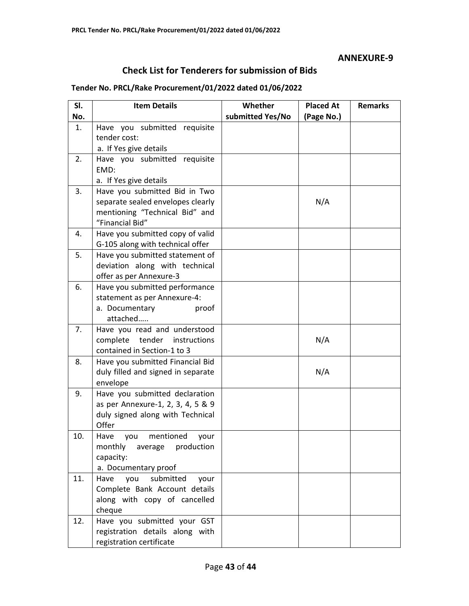# **Check List for Tenderers for submission of Bids**

#### **Tender No. PRCL/Rake Procurement/01/2022 dated 01/06/2022**

| SI.<br>No. | <b>Item Details</b>                                                                                                     | Whether<br>submitted Yes/No | <b>Placed At</b><br>(Page No.) | <b>Remarks</b> |
|------------|-------------------------------------------------------------------------------------------------------------------------|-----------------------------|--------------------------------|----------------|
| 1.         | Have you submitted requisite<br>tender cost:<br>a. If Yes give details                                                  |                             |                                |                |
| 2.         | Have you submitted requisite<br>EMD:<br>a. If Yes give details                                                          |                             |                                |                |
| 3.         | Have you submitted Bid in Two<br>separate sealed envelopes clearly<br>mentioning "Technical Bid" and<br>"Financial Bid" |                             | N/A                            |                |
| 4.         | Have you submitted copy of valid<br>G-105 along with technical offer                                                    |                             |                                |                |
| 5.         | Have you submitted statement of<br>deviation along with technical<br>offer as per Annexure-3                            |                             |                                |                |
| 6.         | Have you submitted performance<br>statement as per Annexure-4:<br>a. Documentary<br>proof<br>attached                   |                             |                                |                |
| 7.         | Have you read and understood<br>complete tender<br>instructions<br>contained in Section-1 to 3                          |                             | N/A                            |                |
| 8.         | Have you submitted Financial Bid<br>duly filled and signed in separate<br>envelope                                      |                             | N/A                            |                |
| 9.         | Have you submitted declaration<br>as per Annexure-1, 2, 3, 4, 5 & 9<br>duly signed along with Technical<br>Offer        |                             |                                |                |
| 10.        | Have<br>mentioned<br>you<br>your<br>monthly<br>production<br>average<br>capacity:<br>a. Documentary proof               |                             |                                |                |
| 11.        | submitted<br>Have<br>you<br>your<br>Complete Bank Account details<br>along with copy of cancelled<br>cheque             |                             |                                |                |
| 12.        | Have you submitted your GST<br>registration details along with<br>registration certificate                              |                             |                                |                |